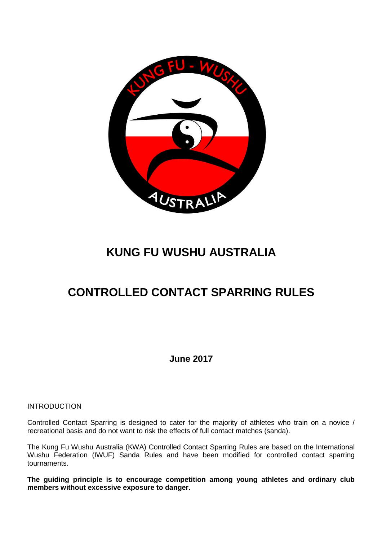

# **KUNG FU WUSHU AUSTRALIA**

# **CONTROLLED CONTACT SPARRING RULES**

**June 2017**

INTRODUCTION

Controlled Contact Sparring is designed to cater for the majority of athletes who train on a novice / recreational basis and do not want to risk the effects of full contact matches (sanda).

The Kung Fu Wushu Australia (KWA) Controlled Contact Sparring Rules are based on the International Wushu Federation (IWUF) Sanda Rules and have been modified for controlled contact sparring tournaments.

**The guiding principle is to encourage competition among young athletes and ordinary club members without excessive exposure to danger.**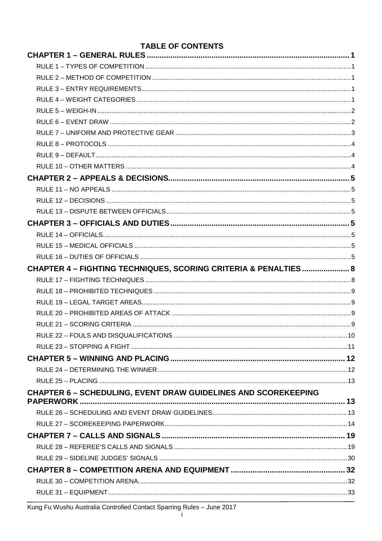| <b>TABLE OF CONTENTS</b>                                              |  |
|-----------------------------------------------------------------------|--|
|                                                                       |  |
|                                                                       |  |
|                                                                       |  |
|                                                                       |  |
|                                                                       |  |
|                                                                       |  |
|                                                                       |  |
|                                                                       |  |
|                                                                       |  |
|                                                                       |  |
|                                                                       |  |
|                                                                       |  |
|                                                                       |  |
|                                                                       |  |
|                                                                       |  |
|                                                                       |  |
|                                                                       |  |
|                                                                       |  |
|                                                                       |  |
| CHAPTER 4 - FIGHTING TECHNIQUES, SCORING CRITERIA & PENALTIES 8       |  |
|                                                                       |  |
|                                                                       |  |
|                                                                       |  |
|                                                                       |  |
|                                                                       |  |
|                                                                       |  |
|                                                                       |  |
|                                                                       |  |
|                                                                       |  |
|                                                                       |  |
| <b>CHAPTER 6 - SCHEDULING, EVENT DRAW GUIDELINES AND SCOREKEEPING</b> |  |
|                                                                       |  |
|                                                                       |  |
|                                                                       |  |
|                                                                       |  |
|                                                                       |  |
|                                                                       |  |
|                                                                       |  |
|                                                                       |  |
|                                                                       |  |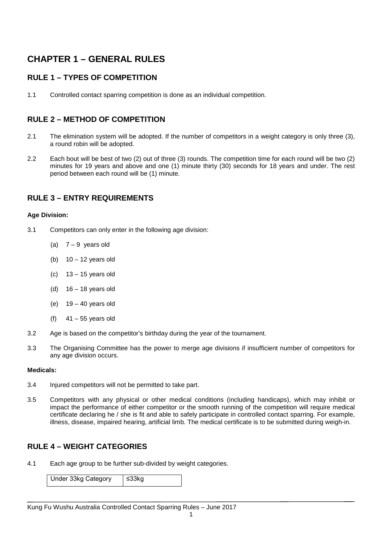### **CHAPTER 1 – GENERAL RULES**

### **RULE 1 – TYPES OF COMPETITION**

1.1 Controlled contact sparring competition is done as an individual competition.

### **RULE 2 – METHOD OF COMPETITION**

- 2.1 The elimination system will be adopted. If the number of competitors in a weight category is only three (3), a round robin will be adopted.
- 2.2 Each bout will be best of two (2) out of three (3) rounds. The competition time for each round will be two (2) minutes for 19 years and above and one (1) minute thirty (30) seconds for 18 years and under. The rest period between each round will be (1) minute.

### **RULE 3 – ENTRY REQUIREMENTS**

#### **Age Division:**

- 3.1 Competitors can only enter in the following age division:
	- (a)  $7 9$  years old
	- (b)  $10 12$  years old
	- (c) 13 15 years old
	- (d)  $16 18$  years old
	- (e)  $19 40$  years old
	- (f)  $41 55$  years old
- 3.2 Age is based on the competitor's birthday during the year of the tournament.
- 3.3 The Organising Committee has the power to merge age divisions if insufficient number of competitors for any age division occurs.

#### **Medicals:**

- 3.4 Injured competitors will not be permitted to take part.
- 3.5 Competitors with any physical or other medical conditions (including handicaps), which may inhibit or impact the performance of either competitor or the smooth running of the competition will require medical certificate declaring he / she is fit and able to safely participate in controlled contact sparring. For example, illness, disease, impaired hearing, artificial limb. The medical certificate is to be submitted during weigh-in.

### **RULE 4 – WEIGHT CATEGORIES**

4.1 Each age group to be further sub-divided by weight categories.

Under 33kg Category | ≤33kg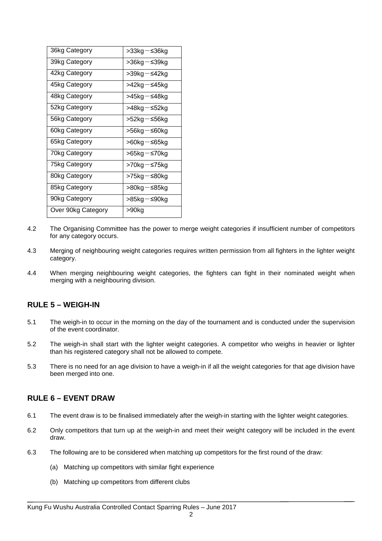| 36kg Category      | >33kg−≤36kg |
|--------------------|-------------|
| 39kg Category      | >36kg−≤39kg |
| 42kg Category      | >39kg−≤42kg |
| 45kg Category      | >42kg−≤45kg |
| 48kg Category      | >45kg−≤48kg |
| 52kg Category      | >48kg−≤52kg |
| 56kg Category      | >52kg−≤56kg |
| 60kg Category      | >56kg−≤60kg |
| 65kg Category      | >60kg−≤65kg |
| 70kg Category      | >65kg−≤70kg |
| 75kg Category      | >70kg−≤75kg |
| 80kg Category      | >75kg−≤80kg |
| 85kg Category      | >80kg−≤85kg |
| 90kg Category      | >85kg−≤90kg |
| Over 90kg Category | >90kg       |

- 4.2 The Organising Committee has the power to merge weight categories if insufficient number of competitors for any category occurs.
- 4.3 Merging of neighbouring weight categories requires written permission from all fighters in the lighter weight category.
- 4.4 When merging neighbouring weight categories, the fighters can fight in their nominated weight when merging with a neighbouring division.

### **RULE 5 – WEIGH-IN**

- 5.1 The weigh-in to occur in the morning on the day of the tournament and is conducted under the supervision of the event coordinator.
- 5.2 The weigh-in shall start with the lighter weight categories. A competitor who weighs in heavier or lighter than his registered category shall not be allowed to compete.
- 5.3 There is no need for an age division to have a weigh-in if all the weight categories for that age division have been merged into one.

### **RULE 6 – EVENT DRAW**

- 6.1 The event draw is to be finalised immediately after the weigh-in starting with the lighter weight categories.
- 6.2 Only competitors that turn up at the weigh-in and meet their weight category will be included in the event draw.
- 6.3 The following are to be considered when matching up competitors for the first round of the draw:
	- (a) Matching up competitors with similar fight experience
	- (b) Matching up competitors from different clubs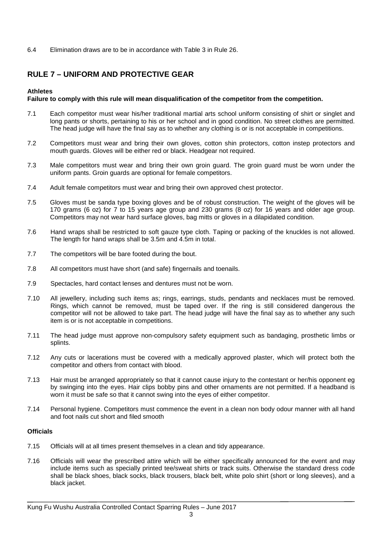6.4 Elimination draws are to be in accordance with Table 3 in Rule 26.

### **RULE 7 – UNIFORM AND PROTECTIVE GEAR**

#### **Athletes**

#### **Failure to comply with this rule will mean disqualification of the competitor from the competition.**

- 7.1 Each competitor must wear his/her traditional martial arts school uniform consisting of shirt or singlet and long pants or shorts, pertaining to his or her school and in good condition. No street clothes are permitted. The head judge will have the final say as to whether any clothing is or is not acceptable in competitions.
- 7.2 Competitors must wear and bring their own gloves, cotton shin protectors, cotton instep protectors and mouth guards. Gloves will be either red or black. Headgear not required.
- 7.3 Male competitors must wear and bring their own groin guard. The groin guard must be worn under the uniform pants. Groin guards are optional for female competitors.
- 7.4 Adult female competitors must wear and bring their own approved chest protector.
- 7.5 Gloves must be sanda type boxing gloves and be of robust construction. The weight of the gloves will be 170 grams (6 oz) for 7 to 15 years age group and 230 grams (8 oz) for 16 years and older age group. Competitors may not wear hard surface gloves, bag mitts or gloves in a dilapidated condition.
- 7.6 Hand wraps shall be restricted to soft gauze type cloth. Taping or packing of the knuckles is not allowed. The length for hand wraps shall be 3.5m and 4.5m in total.
- 7.7 The competitors will be bare footed during the bout.
- 7.8 All competitors must have short (and safe) fingernails and toenails.
- 7.9 Spectacles, hard contact lenses and dentures must not be worn.
- 7.10 All jewellery, including such items as; rings, earrings, studs, pendants and necklaces must be removed. Rings, which cannot be removed, must be taped over. If the ring is still considered dangerous the competitor will not be allowed to take part. The head judge will have the final say as to whether any such item is or is not acceptable in competitions.
- 7.11 The head judge must approve non-compulsory safety equipment such as bandaging, prosthetic limbs or splints.
- 7.12 Any cuts or lacerations must be covered with a medically approved plaster, which will protect both the competitor and others from contact with blood.
- 7.13 Hair must be arranged appropriately so that it cannot cause injury to the contestant or her/his opponent eg by swinging into the eyes. Hair clips bobby pins and other ornaments are not permitted. If a headband is worn it must be safe so that it cannot swing into the eyes of either competitor.
- 7.14 Personal hygiene. Competitors must commence the event in a clean non body odour manner with all hand and foot nails cut short and filed smooth

#### **Officials**

- 7.15 Officials will at all times present themselves in a clean and tidy appearance.
- 7.16 Officials will wear the prescribed attire which will be either specifically announced for the event and may include items such as specially printed tee/sweat shirts or track suits. Otherwise the standard dress code shall be black shoes, black socks, black trousers, black belt, white polo shirt (short or long sleeves), and a black jacket.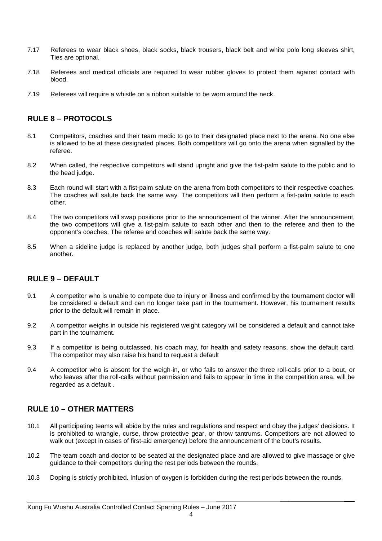- 7.17 Referees to wear black shoes, black socks, black trousers, black belt and white polo long sleeves shirt, Ties are optional.
- 7.18 Referees and medical officials are required to wear rubber gloves to protect them against contact with blood.
- 7.19 Referees will require a whistle on a ribbon suitable to be worn around the neck.

### **RULE 8 – PROTOCOLS**

- 8.1 Competitors, coaches and their team medic to go to their designated place next to the arena. No one else is allowed to be at these designated places. Both competitors will go onto the arena when signalled by the referee.
- 8.2 When called, the respective competitors will stand upright and give the fist-palm salute to the public and to the head judge.
- 8.3 Each round will start with a fist-palm salute on the arena from both competitors to their respective coaches. The coaches will salute back the same way. The competitors will then perform a fist-palm salute to each other.
- 8.4 The two competitors will swap positions prior to the announcement of the winner. After the announcement, the two competitors will give a fist-palm salute to each other and then to the referee and then to the opponent's coaches. The referee and coaches will salute back the same way.
- 8.5 When a sideline judge is replaced by another judge, both judges shall perform a fist-palm salute to one another.

### **RULE 9 – DEFAULT**

- 9.1 A competitor who is unable to compete due to injury or illness and confirmed by the tournament doctor will be considered a default and can no longer take part in the tournament. However, his tournament results prior to the default will remain in place.
- 9.2 A competitor weighs in outside his registered weight category will be considered a default and cannot take part in the tournament.
- 9.3 If a competitor is being outclassed, his coach may, for health and safety reasons, show the default card. The competitor may also raise his hand to request a default
- 9.4 A competitor who is absent for the weigh-in, or who fails to answer the three roll-calls prior to a bout, or who leaves after the roll-calls without permission and fails to appear in time in the competition area, will be regarded as a default .

### **RULE 10 – OTHER MATTERS**

- 10.1 All participating teams will abide by the rules and regulations and respect and obey the judges' decisions. It is prohibited to wrangle, curse, throw protective gear, or throw tantrums. Competitors are not allowed to walk out (except in cases of first-aid emergency) before the announcement of the bout's results.
- 10.2 The team coach and doctor to be seated at the designated place and are allowed to give massage or give guidance to their competitors during the rest periods between the rounds.
- 10.3 Doping is strictly prohibited. Infusion of oxygen is forbidden during the rest periods between the rounds.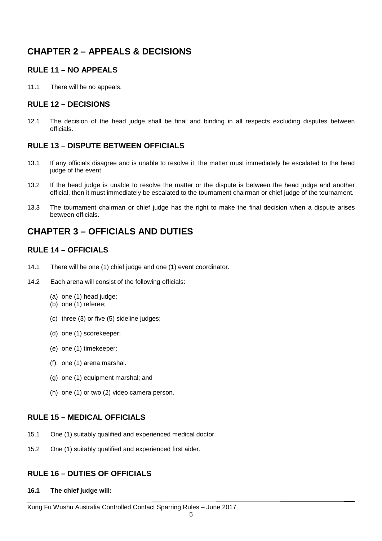### **CHAPTER 2 – APPEALS & DECISIONS**

### **RULE 11 – NO APPEALS**

11.1 There will be no appeals.

### **RULE 12 – DECISIONS**

12.1 The decision of the head judge shall be final and binding in all respects excluding disputes between officials.

### **RULE 13 – DISPUTE BETWEEN OFFICIALS**

- 13.1 If any officials disagree and is unable to resolve it, the matter must immediately be escalated to the head judge of the event
- 13.2 If the head judge is unable to resolve the matter or the dispute is between the head judge and another official, then it must immediately be escalated to the tournament chairman or chief judge of the tournament.
- 13.3 The tournament chairman or chief judge has the right to make the final decision when a dispute arises between officials.

### **CHAPTER 3 – OFFICIALS AND DUTIES**

### **RULE 14 – OFFICIALS**

- 14.1 There will be one (1) chief judge and one (1) event coordinator.
- 14.2 Each arena will consist of the following officials:
	- (a) one (1) head judge;
	- (b) one (1) referee;
	- (c) three (3) or five (5) sideline judges;
	- (d) one (1) scorekeeper;
	- (e) one (1) timekeeper;
	- (f) one (1) arena marshal.
	- (g) one (1) equipment marshal; and
	- (h) one (1) or two (2) video camera person.

### **RULE 15 – MEDICAL OFFICIALS**

- 15.1 One (1) suitably qualified and experienced medical doctor.
- 15.2 One (1) suitably qualified and experienced first aider.

### **RULE 16 – DUTIES OF OFFICIALS**

**16.1 The chief judge will:**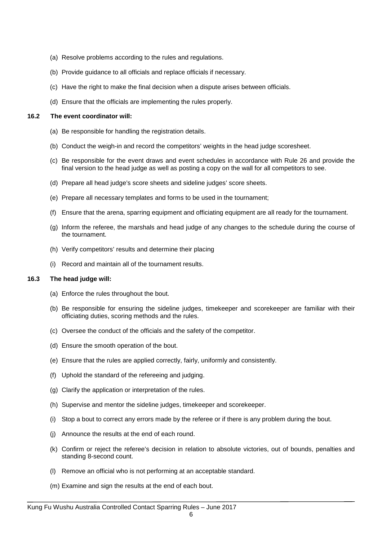- (a) Resolve problems according to the rules and regulations.
- (b) Provide guidance to all officials and replace officials if necessary.
- (c) Have the right to make the final decision when a dispute arises between officials.
- (d) Ensure that the officials are implementing the rules properly.

#### **16.2 The event coordinator will:**

- (a) Be responsible for handling the registration details.
- (b) Conduct the weigh-in and record the competitors' weights in the head judge scoresheet.
- (c) Be responsible for the event draws and event schedules in accordance with Rule 26 and provide the final version to the head judge as well as posting a copy on the wall for all competitors to see.
- (d) Prepare all head judge's score sheets and sideline judges' score sheets.
- (e) Prepare all necessary templates and forms to be used in the tournament;
- (f) Ensure that the arena, sparring equipment and officiating equipment are all ready for the tournament.
- (g) Inform the referee, the marshals and head judge of any changes to the schedule during the course of the tournament.
- (h) Verify competitors' results and determine their placing
- (i) Record and maintain all of the tournament results.

#### **16.3 The head judge will:**

- (a) Enforce the rules throughout the bout.
- (b) Be responsible for ensuring the sideline judges, timekeeper and scorekeeper are familiar with their officiating duties, scoring methods and the rules.
- (c) Oversee the conduct of the officials and the safety of the competitor.
- (d) Ensure the smooth operation of the bout.
- (e) Ensure that the rules are applied correctly, fairly, uniformly and consistently.
- (f) Uphold the standard of the refereeing and judging.
- (g) Clarify the application or interpretation of the rules.
- (h) Supervise and mentor the sideline judges, timekeeper and scorekeeper.
- (i) Stop a bout to correct any errors made by the referee or if there is any problem during the bout.
- (j) Announce the results at the end of each round.
- (k) Confirm or reject the referee's decision in relation to absolute victories, out of bounds, penalties and standing 8-second count.
- (l) Remove an official who is not performing at an acceptable standard.
- (m) Examine and sign the results at the end of each bout.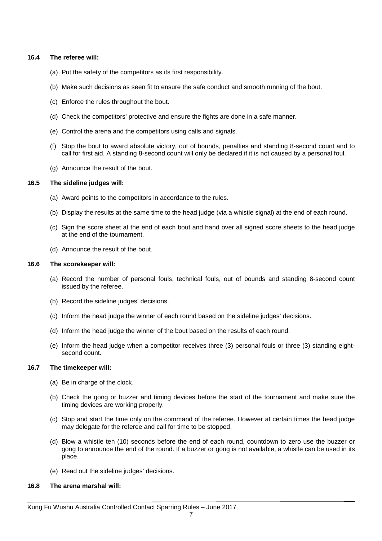#### **16.4 The referee will:**

- (a) Put the safety of the competitors as its first responsibility.
- (b) Make such decisions as seen fit to ensure the safe conduct and smooth running of the bout.
- (c) Enforce the rules throughout the bout.
- (d) Check the competitors' protective and ensure the fights are done in a safe manner.
- (e) Control the arena and the competitors using calls and signals.
- (f) Stop the bout to award absolute victory, out of bounds, penalties and standing 8-second count and to call for first aid. A standing 8-second count will only be declared if it is not caused by a personal foul.
- (g) Announce the result of the bout.

#### **16.5 The sideline judges will:**

- (a) Award points to the competitors in accordance to the rules.
- (b) Display the results at the same time to the head judge (via a whistle signal) at the end of each round.
- (c) Sign the score sheet at the end of each bout and hand over all signed score sheets to the head judge at the end of the tournament.
- (d) Announce the result of the bout.

#### **16.6 The scorekeeper will:**

- (a) Record the number of personal fouls, technical fouls, out of bounds and standing 8-second count issued by the referee.
- (b) Record the sideline judges' decisions.
- (c) Inform the head judge the winner of each round based on the sideline judges' decisions.
- (d) Inform the head judge the winner of the bout based on the results of each round.
- (e) Inform the head judge when a competitor receives three (3) personal fouls or three (3) standing eightsecond count.

#### **16.7 The timekeeper will:**

- (a) Be in charge of the clock.
- (b) Check the gong or buzzer and timing devices before the start of the tournament and make sure the timing devices are working properly.
- (c) Stop and start the time only on the command of the referee. However at certain times the head judge may delegate for the referee and call for time to be stopped.
- (d) Blow a whistle ten (10) seconds before the end of each round, countdown to zero use the buzzer or gong to announce the end of the round. If a buzzer or gong is not available, a whistle can be used in its place.
- (e) Read out the sideline judges' decisions.

#### **16.8 The arena marshal will:**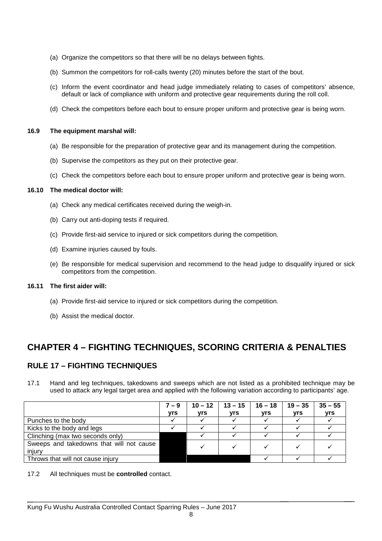- (a) Organize the competitors so that there will be no delays between fights.
- (b) Summon the competitors for roll-calls twenty (20) minutes before the start of the bout.
- (c) Inform the event coordinator and head judge immediately relating to cases of competitors' absence, default or lack of compliance with uniform and protective gear requirements during the roll coll.
- (d) Check the competitors before each bout to ensure proper uniform and protective gear is being worn.

#### **16.9 The equipment marshal will:**

- (a) Be responsible for the preparation of protective gear and its management during the competition.
- (b) Supervise the competitors as they put on their protective gear.
- (c) Check the competitors before each bout to ensure proper uniform and protective gear is being worn.

#### **16.10 The medical doctor will:**

- (a) Check any medical certificates received during the weigh-in.
- (b) Carry out anti-doping tests if required.
- (c) Provide first-aid service to injured or sick competitors during the competition.
- (d) Examine injuries caused by fouls.
- (e) Be responsible for medical supervision and recommend to the head judge to disqualify injured or sick competitors from the competition.

#### **16.11 The first aider will:**

- (a) Provide first-aid service to injured or sick competitors during the competition.
- (b) Assist the medical doctor.

### **CHAPTER 4 – FIGHTING TECHNIQUES, SCORING CRITERIA & PENALTIES**

### **RULE 17 – FIGHTING TECHNIQUES**

17.1 Hand and leg techniques, takedowns and sweeps which are not listed as a prohibited technique may be used to attack any legal target area and applied with the following variation according to participants' age.

|                                          | $7 - 9$    | $10 - 12$ | $13 - 15$ | $16 - 18$ | $19 - 35$  | $35 - 55$ |
|------------------------------------------|------------|-----------|-----------|-----------|------------|-----------|
|                                          | <b>vrs</b> | vrs       | vrs       | vrs       | <b>vrs</b> | vrs       |
| Punches to the body                      |            |           |           |           |            |           |
| Kicks to the body and legs               |            |           |           |           |            |           |
| Clinching (max two seconds only)         |            |           |           |           |            |           |
| Sweeps and takedowns that will not cause |            |           |           |           |            |           |
| injury                                   |            |           |           |           |            |           |
| Throws that will not cause injury        |            |           |           |           |            |           |

17.2 All techniques must be **controlled** contact.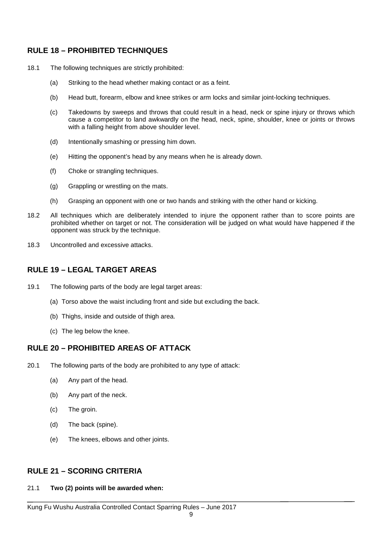### **RULE 18 – PROHIBITED TECHNIQUES**

- 18.1 The following techniques are strictly prohibited:
	- (a) Striking to the head whether making contact or as a feint.
	- (b) Head butt, forearm, elbow and knee strikes or arm locks and similar joint-locking techniques.
	- (c) Takedowns by sweeps and throws that could result in a head, neck or spine injury or throws which cause a competitor to land awkwardly on the head, neck, spine, shoulder, knee or joints or throws with a falling height from above shoulder level.
	- (d) Intentionally smashing or pressing him down.
	- (e) Hitting the opponent's head by any means when he is already down.
	- (f) Choke or strangling techniques.
	- (g) Grappling or wrestling on the mats.
	- (h) Grasping an opponent with one or two hands and striking with the other hand or kicking.
- 18.2 All techniques which are deliberately intended to injure the opponent rather than to score points are prohibited whether on target or not. The consideration will be judged on what would have happened if the opponent was struck by the technique.
- 18.3 Uncontrolled and excessive attacks.

### **RULE 19 – LEGAL TARGET AREAS**

- 19.1 The following parts of the body are legal target areas:
	- (a) Torso above the waist including front and side but excluding the back.
	- (b) Thighs, inside and outside of thigh area.
	- (c) The leg below the knee.

### **RULE 20 – PROHIBITED AREAS OF ATTACK**

- 20.1 The following parts of the body are prohibited to any type of attack:
	- (a) Any part of the head.
	- (b) Any part of the neck.
	- (c) The groin.
	- (d) The back (spine).
	- (e) The knees, elbows and other joints.

### **RULE 21 – SCORING CRITERIA**

#### 21.1 **Two (2) points will be awarded when:**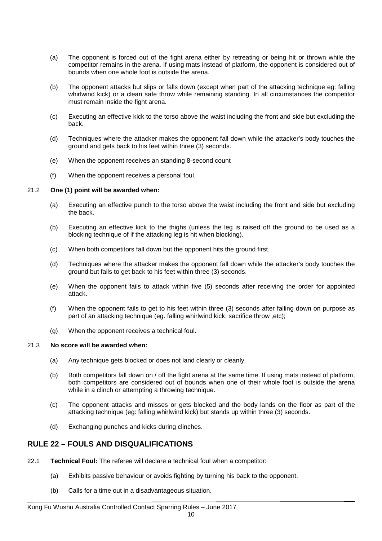- (a) The opponent is forced out of the fight arena either by retreating or being hit or thrown while the competitor remains in the arena. If using mats instead of platform, the opponent is considered out of bounds when one whole foot is outside the arena.
- (b) The opponent attacks but slips or falls down (except when part of the attacking technique eg: falling whirlwind kick) or a clean safe throw while remaining standing. In all circumstances the competitor must remain inside the fight arena.
- (c) Executing an effective kick to the torso above the waist including the front and side but excluding the back.
- (d) Techniques where the attacker makes the opponent fall down while the attacker's body touches the ground and gets back to his feet within three (3) seconds.
- (e) When the opponent receives an standing 8-second count
- (f) When the opponent receives a personal foul.

#### 21.2 **One (1) point will be awarded when:**

- (a) Executing an effective punch to the torso above the waist including the front and side but excluding the back.
- (b) Executing an effective kick to the thighs (unless the leg is raised off the ground to be used as a blocking technique of if the attacking leg is hit when blocking).
- (c) When both competitors fall down but the opponent hits the ground first.
- (d) Techniques where the attacker makes the opponent fall down while the attacker's body touches the ground but fails to get back to his feet within three (3) seconds.
- (e) When the opponent fails to attack within five (5) seconds after receiving the order for appointed attack.
- (f) When the opponent fails to get to his feet within three (3) seconds after falling down on purpose as part of an attacking technique (eg. falling whirlwind kick, sacrifice throw ,etc);
- (g) When the opponent receives a technical foul.

#### 21.3 **No score will be awarded when:**

- (a) Any technique gets blocked or does not land clearly or cleanly.
- (b) Both competitors fall down on / off the fight arena at the same time. If using mats instead of platform, both competitors are considered out of bounds when one of their whole foot is outside the arena while in a clinch or attempting a throwing technique.
- (c) The opponent attacks and misses or gets blocked and the body lands on the floor as part of the attacking technique (eg: falling whirlwind kick) but stands up within three (3) seconds.
- (d) Exchanging punches and kicks during clinches.

#### **RULE 22 – FOULS AND DISQUALIFICATIONS**

- 22.1 **Technical Foul:** The referee will declare a technical foul when a competitor:
	- (a) Exhibits passive behaviour or avoids fighting by turning his back to the opponent.
	- (b) Calls for a time out in a disadvantageous situation.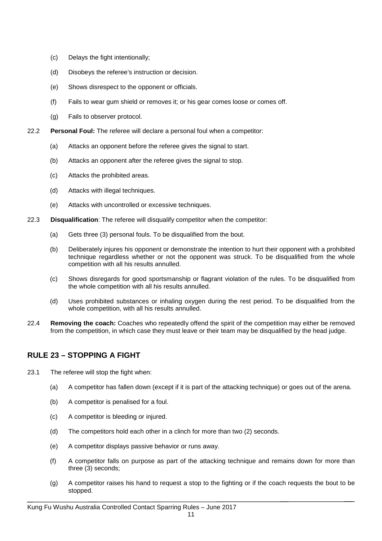- (c) Delays the fight intentionally;
- (d) Disobeys the referee's instruction or decision.
- (e) Shows disrespect to the opponent or officials.
- (f) Fails to wear gum shield or removes it; or his gear comes loose or comes off.
- (g) Fails to observer protocol.
- 22.2 **Personal Foul:** The referee will declare a personal foul when a competitor:
	- (a) Attacks an opponent before the referee gives the signal to start.
	- (b) Attacks an opponent after the referee gives the signal to stop.
	- (c) Attacks the prohibited areas.
	- (d) Attacks with illegal techniques.
	- (e) Attacks with uncontrolled or excessive techniques.
- 22.3 **Disqualification**: The referee will disqualify competitor when the competitor:
	- (a) Gets three (3) personal fouls. To be disqualified from the bout.
	- (b) Deliberately injures his opponent or demonstrate the intention to hurt their opponent with a prohibited technique regardless whether or not the opponent was struck. To be disqualified from the whole competition with all his results annulled.
	- (c) Shows disregards for good sportsmanship or flagrant violation of the rules. To be disqualified from the whole competition with all his results annulled.
	- (d) Uses prohibited substances or inhaling oxygen during the rest period. To be disqualified from the whole competition, with all his results annulled.
- 22.4 **Removing the coach:** Coaches who repeatedly offend the spirit of the competition may either be removed from the competition, in which case they must leave or their team may be disqualified by the head judge.

### **RULE 23 – STOPPING A FIGHT**

- 23.1 The referee will stop the fight when:
	- (a) A competitor has fallen down (except if it is part of the attacking technique) or goes out of the arena.
	- (b) A competitor is penalised for a foul.
	- (c) A competitor is bleeding or injured.
	- (d) The competitors hold each other in a clinch for more than two (2) seconds.
	- (e) A competitor displays passive behavior or runs away.
	- (f) A competitor falls on purpose as part of the attacking technique and remains down for more than three (3) seconds;
	- (g) A competitor raises his hand to request a stop to the fighting or if the coach requests the bout to be stopped.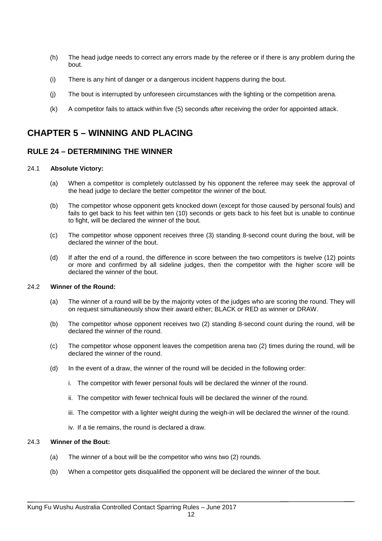- (h) The head judge needs to correct any errors made by the referee or if there is any problem during the bout.
- (i) There is any hint of danger or a dangerous incident happens during the bout.
- (j) The bout is interrupted by unforeseen circumstances with the lighting or the competition arena.
- (k) A competitor fails to attack within five (5) seconds after receiving the order for appointed attack.

### **CHAPTER 5 – WINNING AND PLACING**

### **RULE 24 – DETERMINING THE WINNER**

#### 24.1 **Absolute Victory:**

- (a) When a competitor is completely outclassed by his opponent the referee may seek the approval of the head judge to declare the better competitor the winner of the bout.
- (b) The competitor whose opponent gets knocked down (except for those caused by personal fouls) and fails to get back to his feet within ten (10) seconds or gets back to his feet but is unable to continue to fight, will be declared the winner of the bout.
- (c) The competitor whose opponent receives three (3) standing 8-second count during the bout, will be declared the winner of the bout.
- (d) If after the end of a round, the difference in score between the two competitors is twelve (12) points or more and confirmed by all sideline judges, then the competitor with the higher score will be declared the winner of the bout.

#### 24.2 **Winner of the Round:**

- (a) The winner of a round will be by the majority votes of the judges who are scoring the round. They will on request simultaneously show their award either; BLACK or RED as winner or DRAW.
- (b) The competitor whose opponent receives two (2) standing 8-second count during the round, will be declared the winner of the round.
- (c) The competitor whose opponent leaves the competition arena two (2) times during the round, will be declared the winner of the round.
- (d) In the event of a draw, the winner of the round will be decided in the following order:
	- i. The competitor with fewer personal fouls will be declared the winner of the round.
	- ii. The competitor with fewer technical fouls will be declared the winner of the round.
	- iii. The competitor with a lighter weight during the weigh-in will be declared the winner of the round.
	- iv. If a tie remains, the round is declared a draw.

#### 24.3 **Winner of the Bout:**

- (a) The winner of a bout will be the competitor who wins two (2) rounds.
- (b) When a competitor gets disqualified the opponent will be declared the winner of the bout.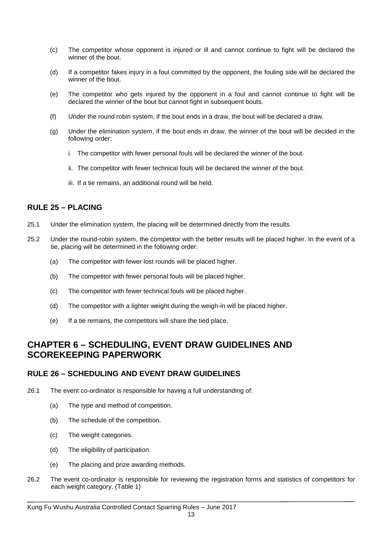- (c) The competitor whose opponent is injured or ill and cannot continue to fight will be declared the winner of the bout.
- (d) If a competitor fakes injury in a foul committed by the opponent, the fouling side will be declared the winner of the bout.
- (e) The competitor who gets injured by the opponent in a foul and cannot continue to fight will be declared the winner of the bout but cannot fight in subsequent bouts.
- (f) Under the round robin system, if the bout ends in a draw, the bout will be declared a draw.
- (g) Under the elimination system, if the bout ends in draw, the winner of the bout will be decided in the following order:
	- i. The competitor with fewer personal fouls will be declared the winner of the bout.
	- ii. The competitor with fewer technical fouls will be declared the winner of the bout.
	- iii. If a tie remains, an additional round will be held.

### **RULE 25 – PLACING**

- 25.1 Under the elimination system, the placing will be determined directly from the results.
- 25.2 Under the round-robin system, the competitor with the better results will be placed higher. In the event of a tie, placing will be determined in the following order:
	- (a) The competitor with fewer lost rounds will be placed higher.
	- (b) The competitor with fewer personal fouls will be placed higher.
	- (c) The competitor with fewer technical fouls will be placed higher.
	- (d) The competitor with a lighter weight during the weigh-in will be placed higher.
	- (e) If a tie remains, the competitors will share the tied place.

### **CHAPTER 6 – SCHEDULING, EVENT DRAW GUIDELINES AND SCOREKEEPING PAPERWORK**

#### **RULE 26 – SCHEDULING AND EVENT DRAW GUIDELINES**

- 26.1 The event co-ordinator is responsible for having a full understanding of:
	- (a) The type and method of competition.
	- (b) The schedule of the competition.
	- (c) The weight categories.
	- (d) The eligibility of participation.
	- (e) The placing and prize awarding methods.
- 26.2 The event co-ordinator is responsible for reviewing the registration forms and statistics of competitors for each weight category. (Table 1)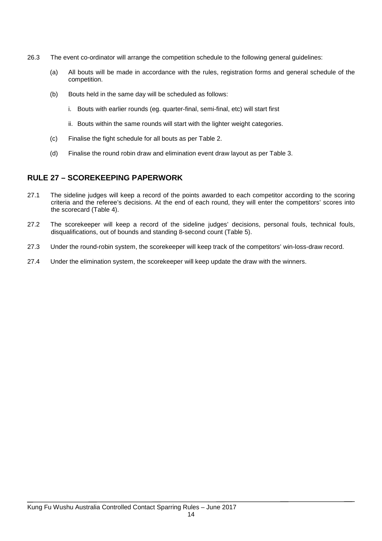- 26.3 The event co-ordinator will arrange the competition schedule to the following general guidelines:
	- (a) All bouts will be made in accordance with the rules, registration forms and general schedule of the competition.
	- (b) Bouts held in the same day will be scheduled as follows:
		- i. Bouts with earlier rounds (eg. quarter-final, semi-final, etc) will start first
		- ii. Bouts within the same rounds will start with the lighter weight categories.
	- (c) Finalise the fight schedule for all bouts as per Table 2.
	- (d) Finalise the round robin draw and elimination event draw layout as per Table 3.

### **RULE 27 – SCOREKEEPING PAPERWORK**

- 27.1 The sideline judges will keep a record of the points awarded to each competitor according to the scoring criteria and the referee's decisions. At the end of each round, they will enter the competitors' scores into the scorecard (Table 4).
- 27.2 The scorekeeper will keep a record of the sideline judges' decisions, personal fouls, technical fouls, disqualifications, out of bounds and standing 8-second count (Table 5).
- 27.3 Under the round-robin system, the scorekeeper will keep track of the competitors' win-loss-draw record.
- 27.4 Under the elimination system, the scorekeeper will keep update the draw with the winners.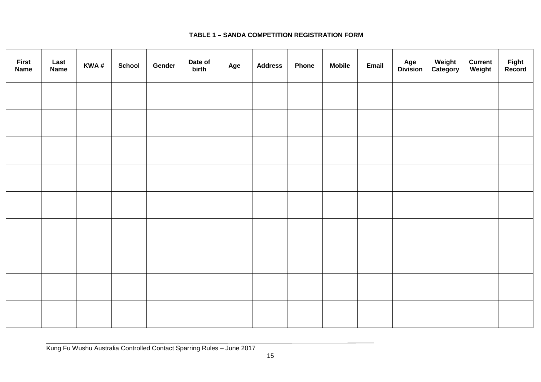### **TABLE 1 – SANDA COMPETITION REGISTRATION FORM**

| <b>First</b><br><b>Name</b> | Last<br><b>Name</b> | KWA# | <b>School</b> | Gender | Date of<br>birth | Age | <b>Address</b> | <b>Phone</b> | <b>Mobile</b> | Email | <b>Age<br/>Division</b> | Weight<br>Category | <b>Current</b><br>Weight | Fight<br>Record |
|-----------------------------|---------------------|------|---------------|--------|------------------|-----|----------------|--------------|---------------|-------|-------------------------|--------------------|--------------------------|-----------------|
|                             |                     |      |               |        |                  |     |                |              |               |       |                         |                    |                          |                 |
|                             |                     |      |               |        |                  |     |                |              |               |       |                         |                    |                          |                 |
|                             |                     |      |               |        |                  |     |                |              |               |       |                         |                    |                          |                 |
|                             |                     |      |               |        |                  |     |                |              |               |       |                         |                    |                          |                 |
|                             |                     |      |               |        |                  |     |                |              |               |       |                         |                    |                          |                 |
|                             |                     |      |               |        |                  |     |                |              |               |       |                         |                    |                          |                 |
|                             |                     |      |               |        |                  |     |                |              |               |       |                         |                    |                          |                 |
|                             |                     |      |               |        |                  |     |                |              |               |       |                         |                    |                          |                 |
|                             |                     |      |               |        |                  |     |                |              |               |       |                         |                    |                          |                 |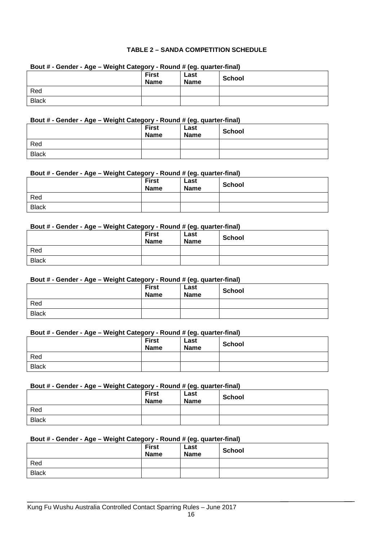#### **TABLE 2 – SANDA COMPETITION SCHEDULE**

| Bout # - Gender - Age – weight Category - Round # (eg. quarter-final) |                             |                     |               |  |  |  |  |
|-----------------------------------------------------------------------|-----------------------------|---------------------|---------------|--|--|--|--|
|                                                                       | <b>First</b><br><b>Name</b> | Last<br><b>Name</b> | <b>School</b> |  |  |  |  |
| Red                                                                   |                             |                     |               |  |  |  |  |
| <b>Black</b>                                                          |                             |                     |               |  |  |  |  |

### **Bout # - Gender - Age – Weight Category - Round # (eg. quarter-final)**

#### **Bout # - Gender - Age – Weight Category - Round # (eg. quarter-final)**

|              | <b>First</b><br><b>Name</b> | Last<br><b>Name</b> | <b>School</b> |
|--------------|-----------------------------|---------------------|---------------|
| Red          |                             |                     |               |
| <b>Black</b> |                             |                     |               |

#### **Bout # - Gender - Age – Weight Category - Round # (eg. quarter-final)**

|              | <b>First</b><br><b>Name</b> | . – -<br>Last<br><b>Name</b> | <b>School</b> |
|--------------|-----------------------------|------------------------------|---------------|
| Red          |                             |                              |               |
| <b>Black</b> |                             |                              |               |

#### **Bout # - Gender - Age – Weight Category - Round # (eg. quarter-final)**

|              | __<br><b>First</b><br><b>Name</b> | $\cdot$ $\cdot$<br>Last<br><b>Name</b> | School |
|--------------|-----------------------------------|----------------------------------------|--------|
| Red          |                                   |                                        |        |
| <b>Black</b> |                                   |                                        |        |

#### **Bout # - Gender - Age – Weight Category - Round # (eg. quarter-final)**

|              | <b>First</b><br><b>Name</b> | Last<br><b>Name</b> | <b>School</b> |
|--------------|-----------------------------|---------------------|---------------|
| Red          |                             |                     |               |
| <b>Black</b> |                             |                     |               |

#### **Bout # - Gender - Age – Weight Category - Round # (eg. quarter-final)**

|              | <b>First</b><br><b>Name</b> | __<br>Last<br><b>Name</b> | <b>School</b> |
|--------------|-----------------------------|---------------------------|---------------|
| Red          |                             |                           |               |
| <b>Black</b> |                             |                           |               |

#### **Bout # - Gender - Age – Weight Category - Round # (eg. quarter-final)**

| . .<br>. .   | <b>First</b><br><b>Name</b> | . .<br>Last<br><b>Name</b> | <b>School</b> |
|--------------|-----------------------------|----------------------------|---------------|
| Red          |                             |                            |               |
| <b>Black</b> |                             |                            |               |

#### **Bout # - Gender - Age – Weight Category - Round # (eg. quarter-final)**

|              | <b>First</b><br><b>Name</b> | Last<br><b>Name</b> | <b>School</b> |
|--------------|-----------------------------|---------------------|---------------|
| Red          |                             |                     |               |
| <b>Black</b> |                             |                     |               |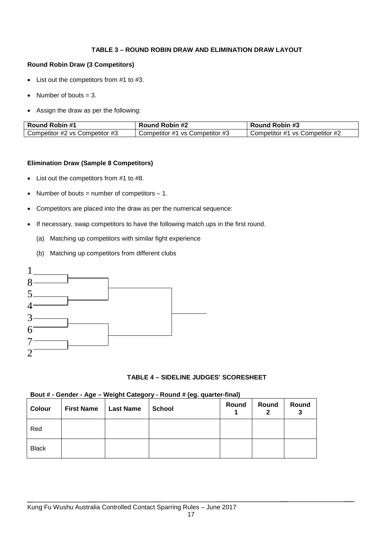#### **TABLE 3 – ROUND ROBIN DRAW AND ELIMINATION DRAW LAYOUT**

#### **Round Robin Draw (3 Competitors)**

- List out the competitors from #1 to #3.
- Number of bouts  $= 3$ .
- Assign the draw as per the following:

| <b>Round Robin #1</b>          | Round Robin #2                 | <b>Round Robin #3</b>          |  |  |
|--------------------------------|--------------------------------|--------------------------------|--|--|
| Competitor #2 vs Competitor #3 | Competitor #1 vs Competitor #3 | Competitor #1 vs Competitor #2 |  |  |

#### **Elimination Draw (Sample 8 Competitors)**

- List out the competitors from #1 to #8.
- Number of bouts = number of competitors  $-1$ .
- Competitors are placed into the draw as per the numerical sequence:
- If necessary, swap competitors to have the following match ups in the first round.
	- (a) Matching up competitors with similar fight experience
	- (b) Matching up competitors from different clubs



#### **TABLE 4 – SIDELINE JUDGES' SCORESHEET**

#### **Bout # - Gender - Age – Weight Category - Round # (eg. quarter-final)**

| Colour       | <b>First Name</b> | Last Name | <b>School</b> | Round | Round | Round<br>3 |
|--------------|-------------------|-----------|---------------|-------|-------|------------|
| Red          |                   |           |               |       |       |            |
| <b>Black</b> |                   |           |               |       |       |            |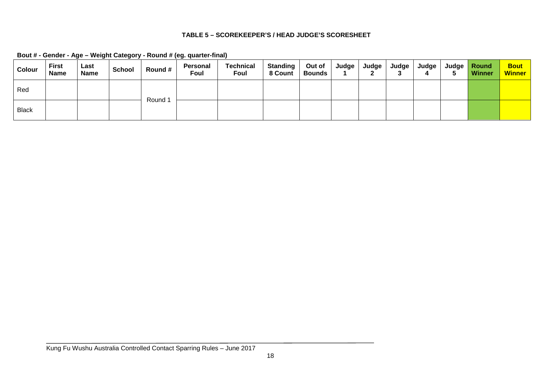### **TABLE 5 – SCOREKEEPER'S / HEAD JUDGE'S SCORESHEET**

| Bout # - Gender - Age - Weight Category - Round # (eg. quarter-final) |  |  |
|-----------------------------------------------------------------------|--|--|
|                                                                       |  |  |

| <b>Colour</b> | <b>First</b><br><b>Name</b> | Last<br><b>Name</b> | <b>School</b> | Round # | Personal<br>Foul | <b>Technical</b><br>Foul | <b>Standing</b><br>8 Count | Out of<br><b>Bounds</b> | <b>Judge</b> | <b>Judge</b> | Judge | Judge l | Judge   Round<br><b>Winner</b> | <b>Bout</b><br><b>Winner</b> |
|---------------|-----------------------------|---------------------|---------------|---------|------------------|--------------------------|----------------------------|-------------------------|--------------|--------------|-------|---------|--------------------------------|------------------------------|
| Red           |                             |                     |               | Round 1 |                  |                          |                            |                         |              |              |       |         |                                |                              |
| <b>Black</b>  |                             |                     |               |         |                  |                          |                            |                         |              |              |       |         |                                |                              |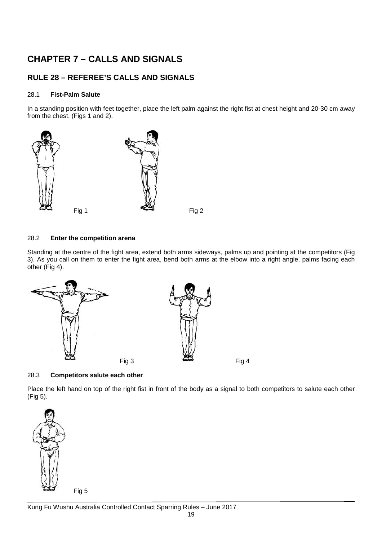## **CHAPTER 7 – CALLS AND SIGNALS**

### **RULE 28 – REFEREE'S CALLS AND SIGNALS**

#### 28.1 **Fist-Palm Salute**

In a standing position with feet together, place the left palm against the right fist at chest height and 20-30 cm away from the chest. (Figs 1 and 2).



#### 28.2 **Enter the competition arena**

Standing at the centre of the fight area, extend both arms sideways, palms up and pointing at the competitors (Fig 3). As you call on them to enter the fight area, bend both arms at the elbow into a right angle, palms facing each other (Fig 4).



#### 28.3 **Competitors salute each other**

Place the left hand on top of the right fist in front of the body as a signal to both competitors to salute each other (Fig 5).

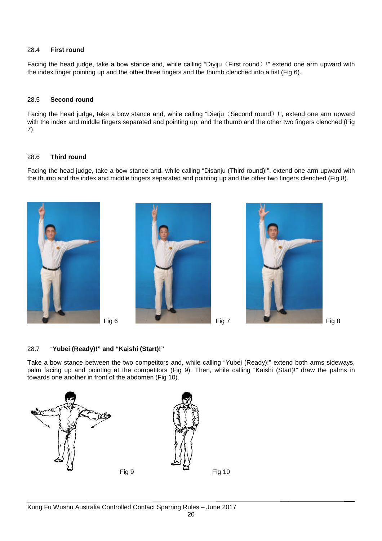#### 28.4 **First round**

Facing the head judge, take a bow stance and, while calling "Diyiju (First round) !" extend one arm upward with the index finger pointing up and the other three fingers and the thumb clenched into a fist (Fig 6).

#### 28.5 **Second round**

Facing the head judge, take a bow stance and, while calling "Dierju (Second round) !", extend one arm upward with the index and middle fingers separated and pointing up, and the thumb and the other two fingers clenched (Fig 7).

#### 28.6 **Third round**

Facing the head judge, take a bow stance and, while calling "Disanju (Third round)!", extend one arm upward with the thumb and the index and middle fingers separated and pointing up and the other two fingers clenched (Fig 8).







#### 28.7 "**Yubei (Ready)!" and "Kaishi (Start)!"**

Take a bow stance between the two competitors and, while calling "Yubei (Ready)!" extend both arms sideways, palm facing up and pointing at the competitors (Fig 9). Then, while calling "Kaishi (Start)!" draw the palms in towards one another in front of the abdomen (Fig 10).

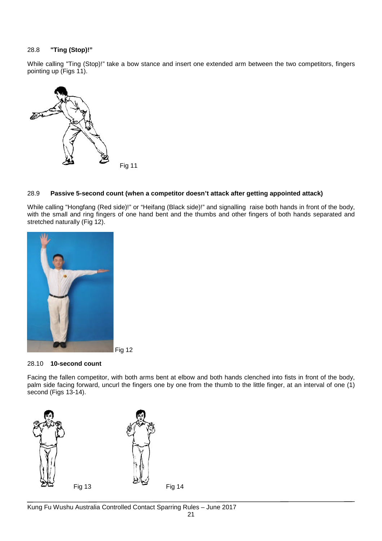#### 28.8 **"Ting (Stop)!"**

While calling "Ting (Stop)!" take a bow stance and insert one extended arm between the two competitors, fingers pointing up (Figs 11).



#### 28.9 **Passive 5-second count (when a competitor doesn't attack after getting appointed attack)**

While calling "Hongfang (Red side)!" or "Heifang (Black side)!" and signalling raise both hands in front of the body, with the small and ring fingers of one hand bent and the thumbs and other fingers of both hands separated and stretched naturally (Fig 12).



#### 28.10 **10-second count**

Facing the fallen competitor, with both arms bent at elbow and both hands clenched into fists in front of the body, palm side facing forward, uncurl the fingers one by one from the thumb to the little finger, at an interval of one (1) second (Figs 13-14).

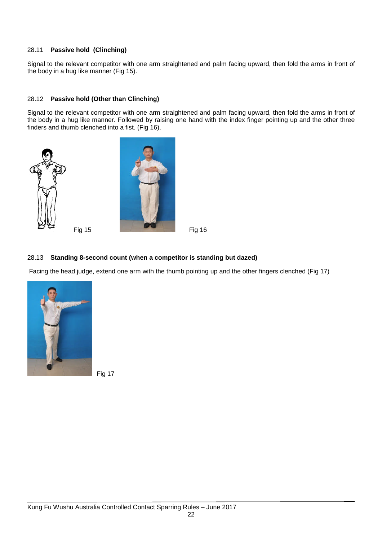#### 28.11 **Passive hold (Clinching)**

Signal to the relevant competitor with one arm straightened and palm facing upward, then fold the arms in front of the body in a hug like manner (Fig 15).

#### 28.12 **Passive hold (Other than Clinching)**

Signal to the relevant competitor with one arm straightened and palm facing upward, then fold the arms in front of the body in a hug like manner. Followed by raising one hand with the index finger pointing up and the other three finders and thumb clenched into a fist. (Fig 16).







#### 28.13 **Standing 8-second count (when a competitor is standing but dazed)**

Facing the head judge, extend one arm with the thumb pointing up and the other fingers clenched (Fig 17)

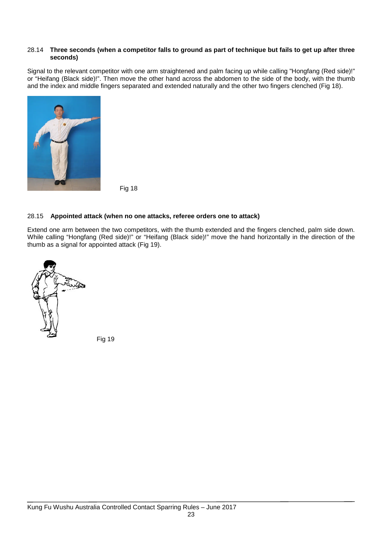#### 28.14 **Three seconds (when a competitor falls to ground as part of technique but fails to get up after three seconds)**

Signal to the relevant competitor with one arm straightened and palm facing up while calling "Hongfang (Red side)!" or "Heifang (Black side)!". Then move the other hand across the abdomen to the side of the body, with the thumb and the index and middle fingers separated and extended naturally and the other two fingers clenched (Fig 18).



Fig 18

#### 28.15 **Appointed attack (when no one attacks, referee orders one to attack)**

Extend one arm between the two competitors, with the thumb extended and the fingers clenched, palm side down. While calling "Hongfang (Red side)!" or "Heifang (Black side)!" move the hand horizontally in the direction of the thumb as a signal for appointed attack (Fig 19).

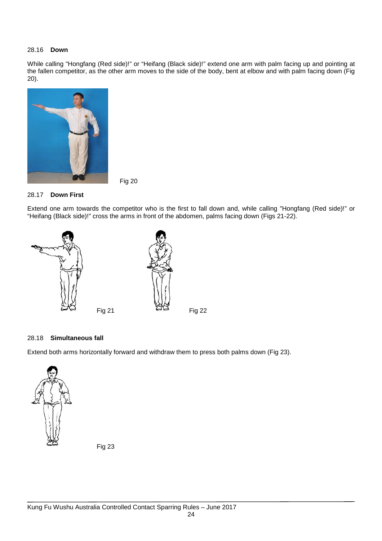#### 28.16 **Down**

While calling "Hongfang (Red side)!" or "Heifang (Black side)!" extend one arm with palm facing up and pointing at the fallen competitor, as the other arm moves to the side of the body, bent at elbow and with palm facing down (Fig 20).



Fig 20

#### 28.17 **Down First**

Extend one arm towards the competitor who is the first to fall down and, while calling "Hongfang (Red side)!" or "Heifang (Black side)!" cross the arms in front of the abdomen, palms facing down (Figs 21-22).



#### 28.18 **Simultaneous fall**

Extend both arms horizontally forward and withdraw them to press both palms down (Fig 23).

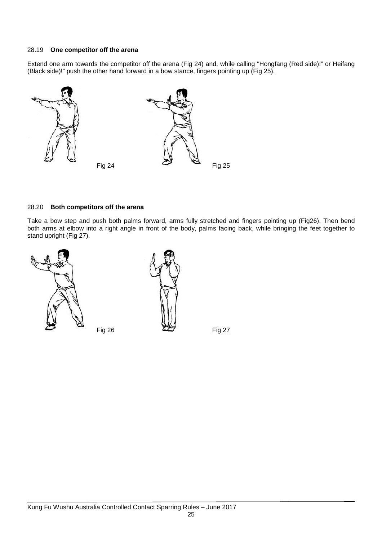#### 28.19 **One competitor off the arena**

Extend one arm towards the competitor off the arena (Fig 24) and, while calling "Hongfang (Red side)!" or Heifang (Black side)!" push the other hand forward in a bow stance, fingers pointing up (Fig 25).



#### 28.20 **Both competitors off the arena**

Take a bow step and push both palms forward, arms fully stretched and fingers pointing up (Fig26). Then bend both arms at elbow into a right angle in front of the body, palms facing back, while bringing the feet together to stand upright (Fig 27).



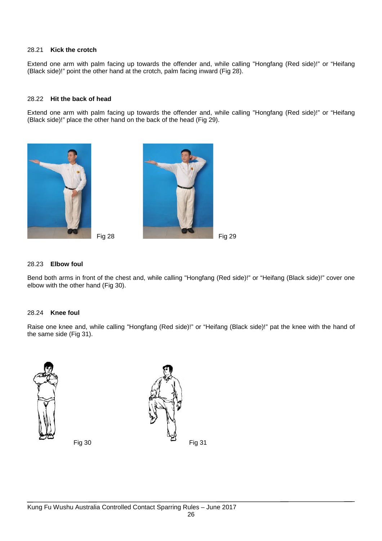#### 28.21 **Kick the crotch**

Extend one arm with palm facing up towards the offender and, while calling "Hongfang (Red side)!" or "Heifang (Black side)!" point the other hand at the crotch, palm facing inward (Fig 28).

#### 28.22 **Hit the back of head**

Extend one arm with palm facing up towards the offender and, while calling "Hongfang (Red side)!" or "Heifang (Black side)!" place the other hand on the back of the head (Fig 29).





#### 28.23 **Elbow foul**

Bend both arms in front of the chest and, while calling "Hongfang (Red side)!" or "Heifang (Black side)!" cover one elbow with the other hand (Fig 30).

#### 28.24 **Knee foul**

Raise one knee and, while calling "Hongfang (Red side)!" or "Heifang (Black side)!" pat the knee with the hand of the same side (Fig 31).





Fig 30 Fig 31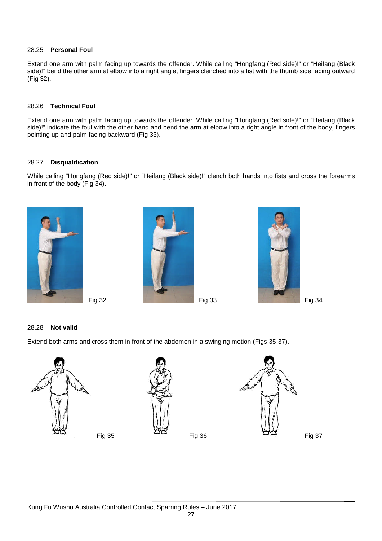#### 28.25 **Personal Foul**

Extend one arm with palm facing up towards the offender. While calling "Hongfang (Red side)!" or "Heifang (Black side)!" bend the other arm at elbow into a right angle, fingers clenched into a fist with the thumb side facing outward (Fig 32).

#### 28.26 **Technical Foul**

Extend one arm with palm facing up towards the offender. While calling "Hongfang (Red side)!" or "Heifang (Black side)!" indicate the foul with the other hand and bend the arm at elbow into a right angle in front of the body, fingers pointing up and palm facing backward (Fig 33).

#### 28.27 **Disqualification**

While calling "Hongfang (Red side)!" or "Heifang (Black side)!" clench both hands into fists and cross the forearms in front of the body (Fig 34).







#### 28.28 **Not valid**

Extend both arms and cross them in front of the abdomen in a swinging motion (Figs 35-37).





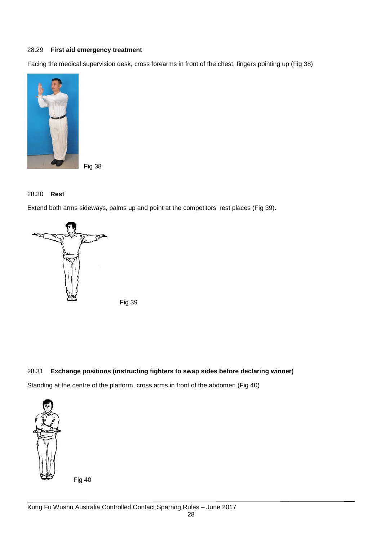#### 28.29 **First aid emergency treatment**

Facing the medical supervision desk, cross forearms in front of the chest, fingers pointing up (Fig 38)



Fig 38

#### 28.30 **Rest**

Extend both arms sideways, palms up and point at the competitors' rest places (Fig 39).



Fig 39

#### 28.31 **Exchange positions (instructing fighters to swap sides before declaring winner)**

Standing at the centre of the platform, cross arms in front of the abdomen (Fig 40)

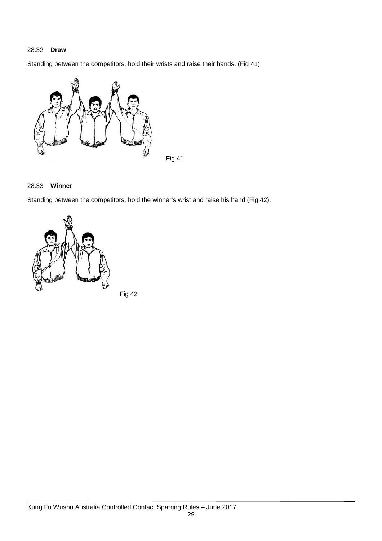#### 28.32 **Draw**

Standing between the competitors, hold their wrists and raise their hands. (Fig 41).



#### 28.33 **Winner**

Standing between the competitors, hold the winner's wrist and raise his hand (Fig 42).



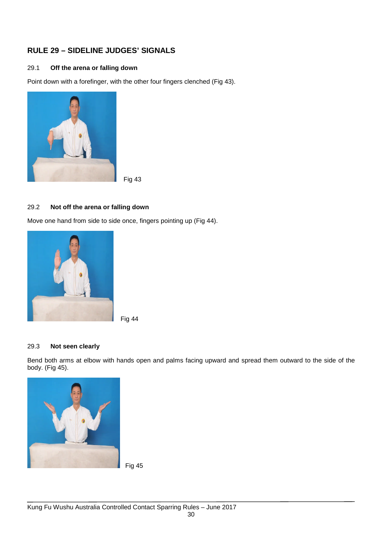### **RULE 29 – SIDELINE JUDGES' SIGNALS**

#### 29.1 **Off the arena or falling down**

Point down with a forefinger, with the other four fingers clenched (Fig 43).



Fig 43

#### 29.2 **Not off the arena or falling down**

Move one hand from side to side once, fingers pointing up (Fig 44).





#### 29.3 **Not seen clearly**

Bend both arms at elbow with hands open and palms facing upward and spread them outward to the side of the body. (Fig 45).

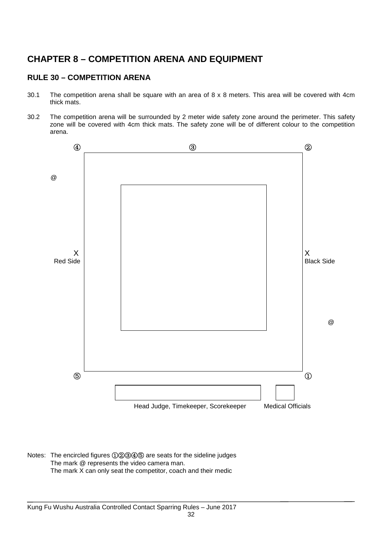### **CHAPTER 8 – COMPETITION ARENA AND EQUIPMENT**

### **RULE 30 – COMPETITION ARENA**

- 30.1 The competition arena shall be square with an area of 8 x 8 meters. This area will be covered with 4cm thick mats.
- 30.2 The competition arena will be surrounded by 2 meter wide safety zone around the perimeter. This safety zone will be covered with 4cm thick mats. The safety zone will be of different colour to the competition arena.



Notes: The encircled figures ①②③④⑤ are seats for the sideline judges The mark @ represents the video camera man. The mark X can only seat the competitor, coach and their medic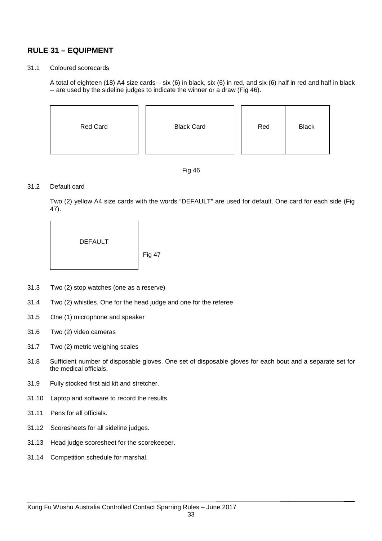### **RULE 31 – EQUIPMENT**

#### 31.1 Coloured scorecards

A total of eighteen (18) A4 size cards – six (6) in black, six (6) in red, and six (6) half in red and half in black -- are used by the sideline judges to indicate the winner or a draw (Fig 46).

| Red Card | <b>Black Card</b> | Red | <b>Black</b> |
|----------|-------------------|-----|--------------|
|----------|-------------------|-----|--------------|



#### 31.2 Default card

Two (2) yellow A4 size cards with the words "DEFAULT" are used for default. One card for each side (Fig 47).

DEFAULT

- 31.3 Two (2) stop watches (one as a reserve)
- 31.4 Two (2) whistles. One for the head judge and one for the referee
- 31.5 One (1) microphone and speaker
- 31.6 Two (2) video cameras
- 31.7 Two (2) metric weighing scales
- 31.8 Sufficient number of disposable gloves. One set of disposable gloves for each bout and a separate set for the medical officials.
- 31.9 Fully stocked first aid kit and stretcher.
- 31.10 Laptop and software to record the results.
- 31.11 Pens for all officials.
- 31.12 Scoresheets for all sideline judges.
- 31.13 Head judge scoresheet for the scorekeeper.
- 31.14 Competition schedule for marshal.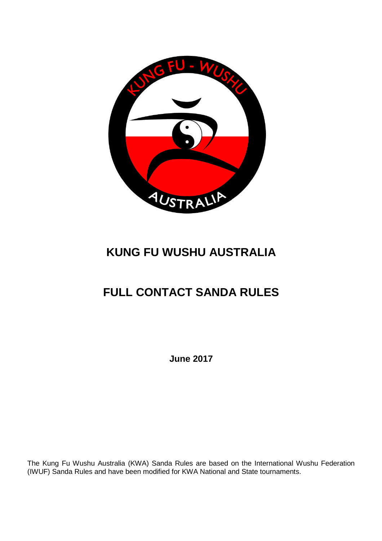

# **KUNG FU WUSHU AUSTRALIA**

# **FULL CONTACT SANDA RULES**

**June 2017**

The Kung Fu Wushu Australia (KWA) Sanda Rules are based on the International Wushu Federation (IWUF) Sanda Rules and have been modified for KWA National and State tournaments.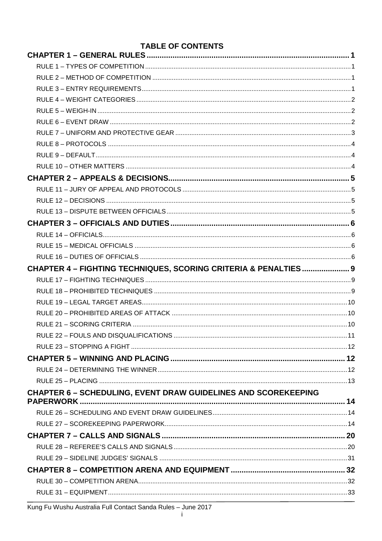| <b>TABLE OF CONTENTS</b>                                              |  |
|-----------------------------------------------------------------------|--|
|                                                                       |  |
|                                                                       |  |
|                                                                       |  |
|                                                                       |  |
|                                                                       |  |
|                                                                       |  |
|                                                                       |  |
|                                                                       |  |
|                                                                       |  |
|                                                                       |  |
|                                                                       |  |
|                                                                       |  |
|                                                                       |  |
|                                                                       |  |
|                                                                       |  |
|                                                                       |  |
|                                                                       |  |
|                                                                       |  |
|                                                                       |  |
| CHAPTER 4 - FIGHTING TECHNIQUES, SCORING CRITERIA & PENALTIES 9       |  |
|                                                                       |  |
|                                                                       |  |
|                                                                       |  |
|                                                                       |  |
|                                                                       |  |
|                                                                       |  |
|                                                                       |  |
|                                                                       |  |
|                                                                       |  |
|                                                                       |  |
| <b>CHAPTER 6 - SCHEDULING, EVENT DRAW GUIDELINES AND SCOREKEEPING</b> |  |
|                                                                       |  |
|                                                                       |  |
|                                                                       |  |
|                                                                       |  |
|                                                                       |  |
|                                                                       |  |
|                                                                       |  |
|                                                                       |  |
|                                                                       |  |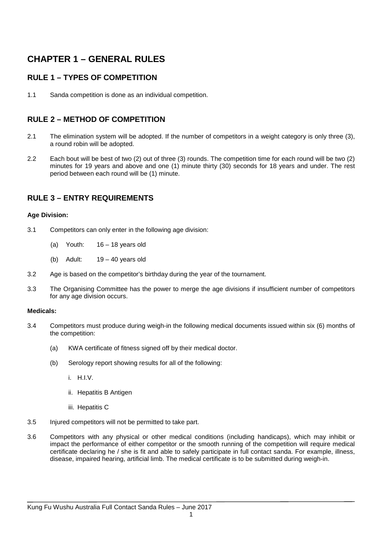# **CHAPTER 1 – GENERAL RULES**

## **RULE 1 – TYPES OF COMPETITION**

1.1 Sanda competition is done as an individual competition.

## **RULE 2 – METHOD OF COMPETITION**

- 2.1 The elimination system will be adopted. If the number of competitors in a weight category is only three (3), a round robin will be adopted.
- 2.2 Each bout will be best of two (2) out of three (3) rounds. The competition time for each round will be two (2) minutes for 19 years and above and one (1) minute thirty (30) seconds for 18 years and under. The rest period between each round will be (1) minute.

## **RULE 3 – ENTRY REQUIREMENTS**

#### **Age Division:**

- 3.1 Competitors can only enter in the following age division:
	- (a) Youth: 16 18 years old
	- (b) Adult: 19 40 years old
- 3.2 Age is based on the competitor's birthday during the year of the tournament.
- 3.3 The Organising Committee has the power to merge the age divisions if insufficient number of competitors for any age division occurs.

#### **Medicals:**

- 3.4 Competitors must produce during weigh-in the following medical documents issued within six (6) months of the competition:
	- (a) KWA certificate of fitness signed off by their medical doctor.
	- (b) Serology report showing results for all of the following:
		- i. H.I.V.
		- ii. Hepatitis B Antigen
		- iii. Hepatitis C
- 3.5 Injured competitors will not be permitted to take part.
- 3.6 Competitors with any physical or other medical conditions (including handicaps), which may inhibit or impact the performance of either competitor or the smooth running of the competition will require medical certificate declaring he / she is fit and able to safely participate in full contact sanda. For example, illness, disease, impaired hearing, artificial limb. The medical certificate is to be submitted during weigh-in.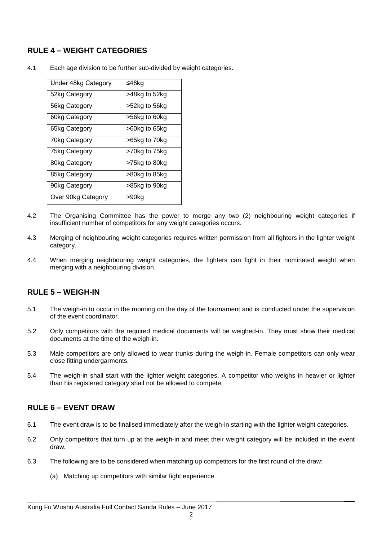## **RULE 4 – WEIGHT CATEGORIES**

| Under 48kg Category | ≤48kg         |
|---------------------|---------------|
| 52kg Category       | >48kg to 52kg |
| 56kg Category       | >52kg to 56kg |
| 60kg Category       | >56kg to 60kg |
| 65kg Category       | >60kg to 65kg |
| 70kg Category       | >65kg to 70kg |
| 75kg Category       | >70kg to 75kg |
| 80kg Category       | >75kg to 80kg |
| 85kg Category       | >80kg to 85kg |
| 90kg Category       | >85kg to 90kg |
| Over 90kg Category  | >90kg         |

4.1 Each age division to be further sub-divided by weight categories.

- 4.2 The Organising Committee has the power to merge any two (2) neighbouring weight categories if insufficient number of competitors for any weight categories occurs.
- 4.3 Merging of neighbouring weight categories requires written permission from all fighters in the lighter weight category.
- 4.4 When merging neighbouring weight categories, the fighters can fight in their nominated weight when merging with a neighbouring division.

## **RULE 5 – WEIGH-IN**

- 5.1 The weigh-in to occur in the morning on the day of the tournament and is conducted under the supervision of the event coordinator.
- 5.2 Only competitors with the required medical documents will be weighed-in. They must show their medical documents at the time of the weigh-in.
- 5.3 Male competitors are only allowed to wear trunks during the weigh-in. Female competitors can only wear close fitting undergarments.
- 5.4 The weigh-in shall start with the lighter weight categories. A competitor who weighs in heavier or lighter than his registered category shall not be allowed to compete.

## **RULE 6 – EVENT DRAW**

- 6.1 The event draw is to be finalised immediately after the weigh-in starting with the lighter weight categories.
- 6.2 Only competitors that turn up at the weigh-in and meet their weight category will be included in the event draw.
- 6.3 The following are to be considered when matching up competitors for the first round of the draw:
	- (a) Matching up competitors with similar fight experience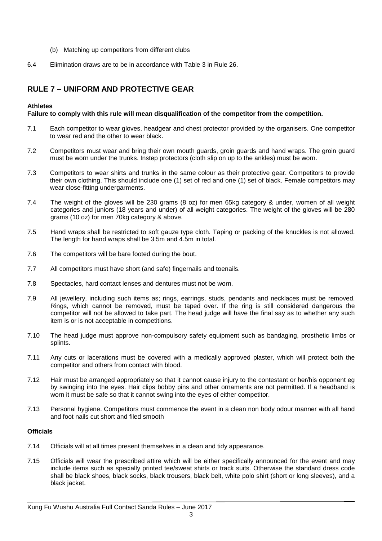- (b) Matching up competitors from different clubs
- 6.4 Elimination draws are to be in accordance with Table 3 in Rule 26.

## **RULE 7 – UNIFORM AND PROTECTIVE GEAR**

#### **Athletes**

#### **Failure to comply with this rule will mean disqualification of the competitor from the competition.**

- 7.1 Each competitor to wear gloves, headgear and chest protector provided by the organisers. One competitor to wear red and the other to wear black.
- 7.2 Competitors must wear and bring their own mouth guards, groin guards and hand wraps. The groin guard must be worn under the trunks. Instep protectors (cloth slip on up to the ankles) must be worn.
- 7.3 Competitors to wear shirts and trunks in the same colour as their protective gear. Competitors to provide their own clothing. This should include one (1) set of red and one (1) set of black. Female competitors may wear close-fitting undergarments.
- 7.4 The weight of the gloves will be 230 grams (8 oz) for men 65kg category & under, women of all weight categories and juniors (18 years and under) of all weight categories. The weight of the gloves will be 280 grams (10 oz) for men 70kg category & above.
- 7.5 Hand wraps shall be restricted to soft gauze type cloth. Taping or packing of the knuckles is not allowed. The length for hand wraps shall be 3.5m and 4.5m in total.
- 7.6 The competitors will be bare footed during the bout.
- 7.7 All competitors must have short (and safe) fingernails and toenails.
- 7.8 Spectacles, hard contact lenses and dentures must not be worn.
- 7.9 All jewellery, including such items as; rings, earrings, studs, pendants and necklaces must be removed. Rings, which cannot be removed, must be taped over. If the ring is still considered dangerous the competitor will not be allowed to take part. The head judge will have the final say as to whether any such item is or is not acceptable in competitions.
- 7.10 The head judge must approve non-compulsory safety equipment such as bandaging, prosthetic limbs or splints.
- 7.11 Any cuts or lacerations must be covered with a medically approved plaster, which will protect both the competitor and others from contact with blood.
- 7.12 Hair must be arranged appropriately so that it cannot cause injury to the contestant or her/his opponent eg by swinging into the eyes. Hair clips bobby pins and other ornaments are not permitted. If a headband is worn it must be safe so that it cannot swing into the eyes of either competitor.
- 7.13 Personal hygiene. Competitors must commence the event in a clean non body odour manner with all hand and foot nails cut short and filed smooth

#### **Officials**

- 7.14 Officials will at all times present themselves in a clean and tidy appearance.
- 7.15 Officials will wear the prescribed attire which will be either specifically announced for the event and may include items such as specially printed tee/sweat shirts or track suits. Otherwise the standard dress code shall be black shoes, black socks, black trousers, black belt, white polo shirt (short or long sleeves), and a black jacket.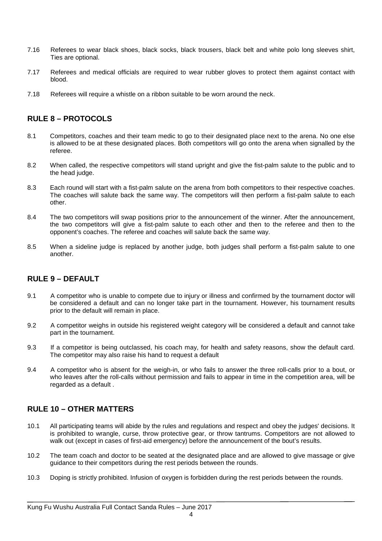- 7.16 Referees to wear black shoes, black socks, black trousers, black belt and white polo long sleeves shirt, Ties are optional.
- 7.17 Referees and medical officials are required to wear rubber gloves to protect them against contact with blood.
- 7.18 Referees will require a whistle on a ribbon suitable to be worn around the neck.

## **RULE 8 – PROTOCOLS**

- 8.1 Competitors, coaches and their team medic to go to their designated place next to the arena. No one else is allowed to be at these designated places. Both competitors will go onto the arena when signalled by the referee.
- 8.2 When called, the respective competitors will stand upright and give the fist-palm salute to the public and to the head judge.
- 8.3 Each round will start with a fist-palm salute on the arena from both competitors to their respective coaches. The coaches will salute back the same way. The competitors will then perform a fist-palm salute to each other.
- 8.4 The two competitors will swap positions prior to the announcement of the winner. After the announcement, the two competitors will give a fist-palm salute to each other and then to the referee and then to the opponent's coaches. The referee and coaches will salute back the same way.
- 8.5 When a sideline judge is replaced by another judge, both judges shall perform a fist-palm salute to one another.

## **RULE 9 – DEFAULT**

- 9.1 A competitor who is unable to compete due to injury or illness and confirmed by the tournament doctor will be considered a default and can no longer take part in the tournament. However, his tournament results prior to the default will remain in place.
- 9.2 A competitor weighs in outside his registered weight category will be considered a default and cannot take part in the tournament.
- 9.3 If a competitor is being outclassed, his coach may, for health and safety reasons, show the default card. The competitor may also raise his hand to request a default
- 9.4 A competitor who is absent for the weigh-in, or who fails to answer the three roll-calls prior to a bout, or who leaves after the roll-calls without permission and fails to appear in time in the competition area, will be regarded as a default .

## **RULE 10 – OTHER MATTERS**

- 10.1 All participating teams will abide by the rules and regulations and respect and obey the judges' decisions. It is prohibited to wrangle, curse, throw protective gear, or throw tantrums. Competitors are not allowed to walk out (except in cases of first-aid emergency) before the announcement of the bout's results.
- 10.2 The team coach and doctor to be seated at the designated place and are allowed to give massage or give guidance to their competitors during the rest periods between the rounds.
- 10.3 Doping is strictly prohibited. Infusion of oxygen is forbidden during the rest periods between the rounds.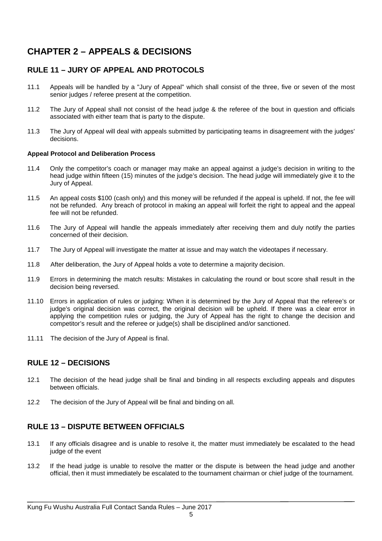# **CHAPTER 2 – APPEALS & DECISIONS**

## **RULE 11 – JURY OF APPEAL AND PROTOCOLS**

- 11.1 Appeals will be handled by a "Jury of Appeal" which shall consist of the three, five or seven of the most senior judges / referee present at the competition.
- 11.2 The Jury of Appeal shall not consist of the head judge & the referee of the bout in question and officials associated with either team that is party to the dispute.
- 11.3 The Jury of Appeal will deal with appeals submitted by participating teams in disagreement with the judges' decisions.

#### **Appeal Protocol and Deliberation Process**

- 11.4 Only the competitor's coach or manager may make an appeal against a judge's decision in writing to the head judge within fifteen (15) minutes of the judge's decision. The head judge will immediately give it to the Jury of Appeal.
- 11.5 An appeal costs \$100 (cash only) and this money will be refunded if the appeal is upheld. If not, the fee will not be refunded. Any breach of protocol in making an appeal will forfeit the right to appeal and the appeal fee will not be refunded.
- 11.6 The Jury of Appeal will handle the appeals immediately after receiving them and duly notify the parties concerned of their decision.
- 11.7 The Jury of Appeal will investigate the matter at issue and may watch the videotapes if necessary.
- 11.8 After deliberation, the Jury of Appeal holds a vote to determine a majority decision.
- 11.9 Errors in determining the match results: Mistakes in calculating the round or bout score shall result in the decision being reversed.
- 11.10 Errors in application of rules or judging: When it is determined by the Jury of Appeal that the referee's or judge's original decision was correct, the original decision will be upheld. If there was a clear error in applying the competition rules or judging, the Jury of Appeal has the right to change the decision and competitor's result and the referee or judge(s) shall be disciplined and/or sanctioned.
- 11.11 The decision of the Jury of Appeal is final.

## **RULE 12 – DECISIONS**

- 12.1 The decision of the head judge shall be final and binding in all respects excluding appeals and disputes between officials.
- 12.2 The decision of the Jury of Appeal will be final and binding on all.

## **RULE 13 – DISPUTE BETWEEN OFFICIALS**

- 13.1 If any officials disagree and is unable to resolve it, the matter must immediately be escalated to the head judge of the event
- 13.2 If the head judge is unable to resolve the matter or the dispute is between the head judge and another official, then it must immediately be escalated to the tournament chairman or chief judge of the tournament.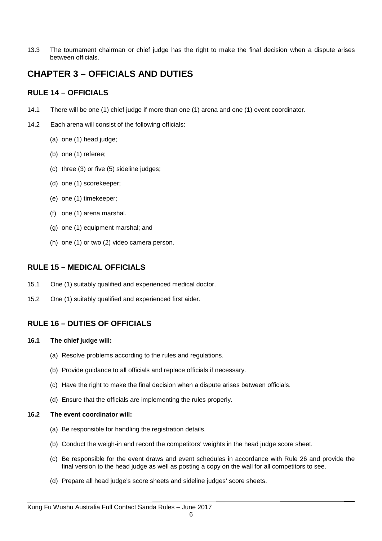13.3 The tournament chairman or chief judge has the right to make the final decision when a dispute arises between officials.

# **CHAPTER 3 – OFFICIALS AND DUTIES**

## **RULE 14 – OFFICIALS**

- 14.1 There will be one (1) chief judge if more than one (1) arena and one (1) event coordinator.
- 14.2 Each arena will consist of the following officials:
	- (a) one (1) head judge;
	- (b) one (1) referee;
	- (c) three (3) or five (5) sideline judges;
	- (d) one (1) scorekeeper;
	- (e) one (1) timekeeper;
	- (f) one (1) arena marshal.
	- (g) one (1) equipment marshal; and
	- (h) one (1) or two (2) video camera person.

## **RULE 15 – MEDICAL OFFICIALS**

- 15.1 One (1) suitably qualified and experienced medical doctor.
- 15.2 One (1) suitably qualified and experienced first aider.

## **RULE 16 – DUTIES OF OFFICIALS**

#### **16.1 The chief judge will:**

- (a) Resolve problems according to the rules and regulations.
- (b) Provide guidance to all officials and replace officials if necessary.
- (c) Have the right to make the final decision when a dispute arises between officials.
- (d) Ensure that the officials are implementing the rules properly.

#### **16.2 The event coordinator will:**

- (a) Be responsible for handling the registration details.
- (b) Conduct the weigh-in and record the competitors' weights in the head judge score sheet.
- (c) Be responsible for the event draws and event schedules in accordance with Rule 26 and provide the final version to the head judge as well as posting a copy on the wall for all competitors to see.
- (d) Prepare all head judge's score sheets and sideline judges' score sheets.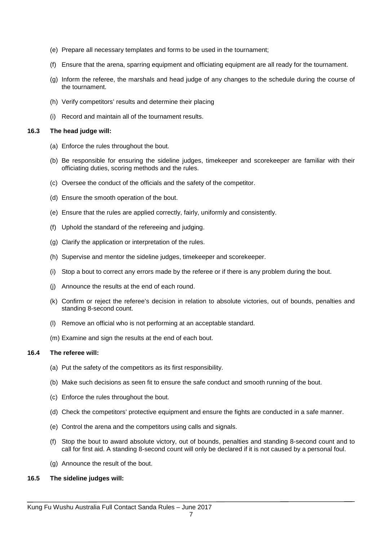- (e) Prepare all necessary templates and forms to be used in the tournament;
- (f) Ensure that the arena, sparring equipment and officiating equipment are all ready for the tournament.
- (g) Inform the referee, the marshals and head judge of any changes to the schedule during the course of the tournament.
- (h) Verify competitors' results and determine their placing
- (i) Record and maintain all of the tournament results.

#### **16.3 The head judge will:**

- (a) Enforce the rules throughout the bout.
- (b) Be responsible for ensuring the sideline judges, timekeeper and scorekeeper are familiar with their officiating duties, scoring methods and the rules.
- (c) Oversee the conduct of the officials and the safety of the competitor.
- (d) Ensure the smooth operation of the bout.
- (e) Ensure that the rules are applied correctly, fairly, uniformly and consistently.
- (f) Uphold the standard of the refereeing and judging.
- (g) Clarify the application or interpretation of the rules.
- (h) Supervise and mentor the sideline judges, timekeeper and scorekeeper.
- (i) Stop a bout to correct any errors made by the referee or if there is any problem during the bout.
- (j) Announce the results at the end of each round.
- (k) Confirm or reject the referee's decision in relation to absolute victories, out of bounds, penalties and standing 8-second count.
- (l) Remove an official who is not performing at an acceptable standard.
- (m) Examine and sign the results at the end of each bout.

#### **16.4 The referee will:**

- (a) Put the safety of the competitors as its first responsibility.
- (b) Make such decisions as seen fit to ensure the safe conduct and smooth running of the bout.
- (c) Enforce the rules throughout the bout.
- (d) Check the competitors' protective equipment and ensure the fights are conducted in a safe manner.
- (e) Control the arena and the competitors using calls and signals.
- (f) Stop the bout to award absolute victory, out of bounds, penalties and standing 8-second count and to call for first aid. A standing 8-second count will only be declared if it is not caused by a personal foul.
- (g) Announce the result of the bout.

#### **16.5 The sideline judges will:**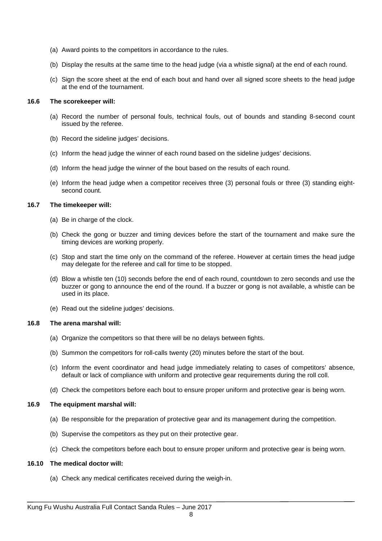- (a) Award points to the competitors in accordance to the rules.
- (b) Display the results at the same time to the head judge (via a whistle signal) at the end of each round.
- (c) Sign the score sheet at the end of each bout and hand over all signed score sheets to the head judge at the end of the tournament.

#### **16.6 The scorekeeper will:**

- (a) Record the number of personal fouls, technical fouls, out of bounds and standing 8-second count issued by the referee.
- (b) Record the sideline judges' decisions.
- (c) Inform the head judge the winner of each round based on the sideline judges' decisions.
- (d) Inform the head judge the winner of the bout based on the results of each round.
- (e) Inform the head judge when a competitor receives three (3) personal fouls or three (3) standing eightsecond count.

#### **16.7 The timekeeper will:**

- (a) Be in charge of the clock.
- (b) Check the gong or buzzer and timing devices before the start of the tournament and make sure the timing devices are working properly.
- (c) Stop and start the time only on the command of the referee. However at certain times the head judge may delegate for the referee and call for time to be stopped.
- (d) Blow a whistle ten (10) seconds before the end of each round, countdown to zero seconds and use the buzzer or gong to announce the end of the round. If a buzzer or gong is not available, a whistle can be used in its place.
- (e) Read out the sideline judges' decisions.

#### **16.8 The arena marshal will:**

- (a) Organize the competitors so that there will be no delays between fights.
- (b) Summon the competitors for roll-calls twenty (20) minutes before the start of the bout.
- (c) Inform the event coordinator and head judge immediately relating to cases of competitors' absence, default or lack of compliance with uniform and protective gear requirements during the roll coll.
- (d) Check the competitors before each bout to ensure proper uniform and protective gear is being worn.

#### **16.9 The equipment marshal will:**

- (a) Be responsible for the preparation of protective gear and its management during the competition.
- (b) Supervise the competitors as they put on their protective gear.
- (c) Check the competitors before each bout to ensure proper uniform and protective gear is being worn.

#### **16.10 The medical doctor will:**

(a) Check any medical certificates received during the weigh-in.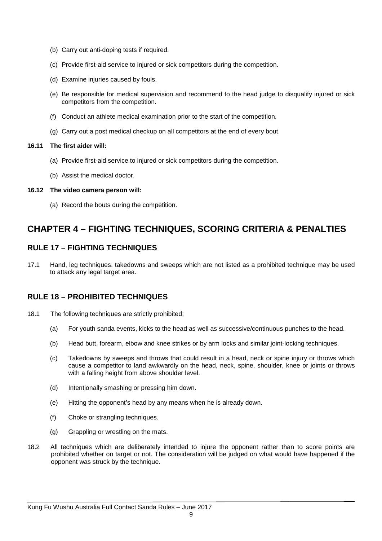- (b) Carry out anti-doping tests if required.
- (c) Provide first-aid service to injured or sick competitors during the competition.
- (d) Examine injuries caused by fouls.
- (e) Be responsible for medical supervision and recommend to the head judge to disqualify injured or sick competitors from the competition.
- (f) Conduct an athlete medical examination prior to the start of the competition.
- (g) Carry out a post medical checkup on all competitors at the end of every bout.

#### **16.11 The first aider will:**

- (a) Provide first-aid service to injured or sick competitors during the competition.
- (b) Assist the medical doctor.

#### **16.12 The video camera person will:**

(a) Record the bouts during the competition.

# **CHAPTER 4 – FIGHTING TECHNIQUES, SCORING CRITERIA & PENALTIES**

## **RULE 17 – FIGHTING TECHNIQUES**

17.1 Hand, leg techniques, takedowns and sweeps which are not listed as a prohibited technique may be used to attack any legal target area.

## **RULE 18 – PROHIBITED TECHNIQUES**

- 18.1 The following techniques are strictly prohibited:
	- (a) For youth sanda events, kicks to the head as well as successive/continuous punches to the head.
	- (b) Head butt, forearm, elbow and knee strikes or by arm locks and similar joint-locking techniques.
	- (c) Takedowns by sweeps and throws that could result in a head, neck or spine injury or throws which cause a competitor to land awkwardly on the head, neck, spine, shoulder, knee or joints or throws with a falling height from above shoulder level.
	- (d) Intentionally smashing or pressing him down.
	- (e) Hitting the opponent's head by any means when he is already down.
	- (f) Choke or strangling techniques.
	- (g) Grappling or wrestling on the mats.
- 18.2 All techniques which are deliberately intended to injure the opponent rather than to score points are prohibited whether on target or not. The consideration will be judged on what would have happened if the opponent was struck by the technique.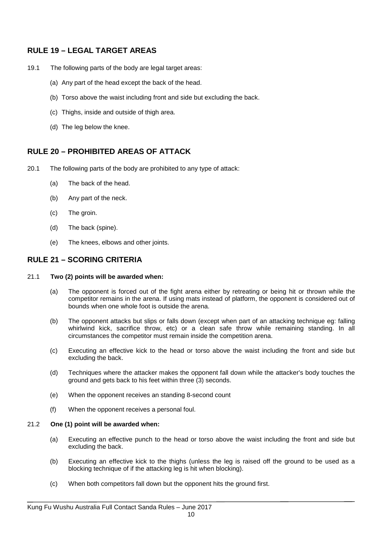## **RULE 19 – LEGAL TARGET AREAS**

- 19.1 The following parts of the body are legal target areas:
	- (a) Any part of the head except the back of the head.
	- (b) Torso above the waist including front and side but excluding the back.
	- (c) Thighs, inside and outside of thigh area.
	- (d) The leg below the knee.

## **RULE 20 – PROHIBITED AREAS OF ATTACK**

- 20.1 The following parts of the body are prohibited to any type of attack:
	- (a) The back of the head.
	- (b) Any part of the neck.
	- (c) The groin.
	- (d) The back (spine).
	- (e) The knees, elbows and other joints.

## **RULE 21 – SCORING CRITERIA**

#### 21.1 **Two (2) points will be awarded when:**

- (a) The opponent is forced out of the fight arena either by retreating or being hit or thrown while the competitor remains in the arena. If using mats instead of platform, the opponent is considered out of bounds when one whole foot is outside the arena.
- (b) The opponent attacks but slips or falls down (except when part of an attacking technique eg: falling whirlwind kick, sacrifice throw, etc) or a clean safe throw while remaining standing. In all circumstances the competitor must remain inside the competition arena.
- (c) Executing an effective kick to the head or torso above the waist including the front and side but excluding the back.
- (d) Techniques where the attacker makes the opponent fall down while the attacker's body touches the ground and gets back to his feet within three (3) seconds.
- (e) When the opponent receives an standing 8-second count
- (f) When the opponent receives a personal foul.

#### 21.2 **One (1) point will be awarded when:**

- (a) Executing an effective punch to the head or torso above the waist including the front and side but excluding the back.
- (b) Executing an effective kick to the thighs (unless the leg is raised off the ground to be used as a blocking technique of if the attacking leg is hit when blocking).
- (c) When both competitors fall down but the opponent hits the ground first.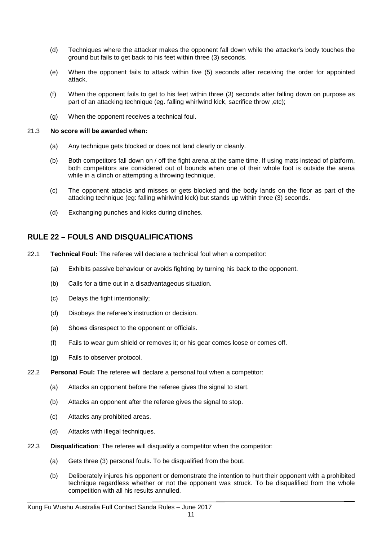- (d) Techniques where the attacker makes the opponent fall down while the attacker's body touches the ground but fails to get back to his feet within three (3) seconds.
- (e) When the opponent fails to attack within five (5) seconds after receiving the order for appointed attack.
- (f) When the opponent fails to get to his feet within three (3) seconds after falling down on purpose as part of an attacking technique (eg. falling whirlwind kick, sacrifice throw ,etc);
- (g) When the opponent receives a technical foul.

#### 21.3 **No score will be awarded when:**

- (a) Any technique gets blocked or does not land clearly or cleanly.
- (b) Both competitors fall down on / off the fight arena at the same time. If using mats instead of platform, both competitors are considered out of bounds when one of their whole foot is outside the arena while in a clinch or attempting a throwing technique.
- (c) The opponent attacks and misses or gets blocked and the body lands on the floor as part of the attacking technique (eg: falling whirlwind kick) but stands up within three (3) seconds.
- (d) Exchanging punches and kicks during clinches.

## **RULE 22 – FOULS AND DISQUALIFICATIONS**

- 22.1 **Technical Foul:** The referee will declare a technical foul when a competitor:
	- (a) Exhibits passive behaviour or avoids fighting by turning his back to the opponent.
	- (b) Calls for a time out in a disadvantageous situation.
	- (c) Delays the fight intentionally;
	- (d) Disobeys the referee's instruction or decision.
	- (e) Shows disrespect to the opponent or officials.
	- (f) Fails to wear gum shield or removes it; or his gear comes loose or comes off.
	- (g) Fails to observer protocol.
- 22.2 **Personal Foul:** The referee will declare a personal foul when a competitor:
	- (a) Attacks an opponent before the referee gives the signal to start.
	- (b) Attacks an opponent after the referee gives the signal to stop.
	- (c) Attacks any prohibited areas.
	- (d) Attacks with illegal techniques.
- 22.3 **Disqualification**: The referee will disqualify a competitor when the competitor:
	- (a) Gets three (3) personal fouls. To be disqualified from the bout.
	- (b) Deliberately injures his opponent or demonstrate the intention to hurt their opponent with a prohibited technique regardless whether or not the opponent was struck. To be disqualified from the whole competition with all his results annulled.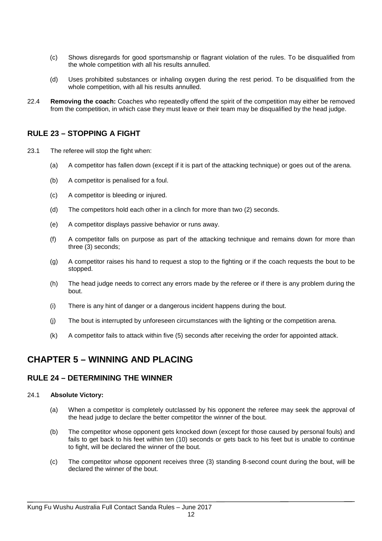- (c) Shows disregards for good sportsmanship or flagrant violation of the rules. To be disqualified from the whole competition with all his results annulled.
- (d) Uses prohibited substances or inhaling oxygen during the rest period. To be disqualified from the whole competition, with all his results annulled.
- 22.4 **Removing the coach:** Coaches who repeatedly offend the spirit of the competition may either be removed from the competition, in which case they must leave or their team may be disqualified by the head judge.

## **RULE 23 – STOPPING A FIGHT**

- 23.1 The referee will stop the fight when:
	- (a) A competitor has fallen down (except if it is part of the attacking technique) or goes out of the arena.
	- (b) A competitor is penalised for a foul.
	- (c) A competitor is bleeding or injured.
	- (d) The competitors hold each other in a clinch for more than two (2) seconds.
	- (e) A competitor displays passive behavior or runs away.
	- (f) A competitor falls on purpose as part of the attacking technique and remains down for more than three (3) seconds;
	- (g) A competitor raises his hand to request a stop to the fighting or if the coach requests the bout to be stopped.
	- (h) The head judge needs to correct any errors made by the referee or if there is any problem during the bout.
	- (i) There is any hint of danger or a dangerous incident happens during the bout.
	- (j) The bout is interrupted by unforeseen circumstances with the lighting or the competition arena.
	- (k) A competitor fails to attack within five (5) seconds after receiving the order for appointed attack.

## **CHAPTER 5 – WINNING AND PLACING**

#### **RULE 24 – DETERMINING THE WINNER**

#### 24.1 **Absolute Victory:**

- (a) When a competitor is completely outclassed by his opponent the referee may seek the approval of the head judge to declare the better competitor the winner of the bout.
- (b) The competitor whose opponent gets knocked down (except for those caused by personal fouls) and fails to get back to his feet within ten (10) seconds or gets back to his feet but is unable to continue to fight, will be declared the winner of the bout.
- (c) The competitor whose opponent receives three (3) standing 8-second count during the bout, will be declared the winner of the bout.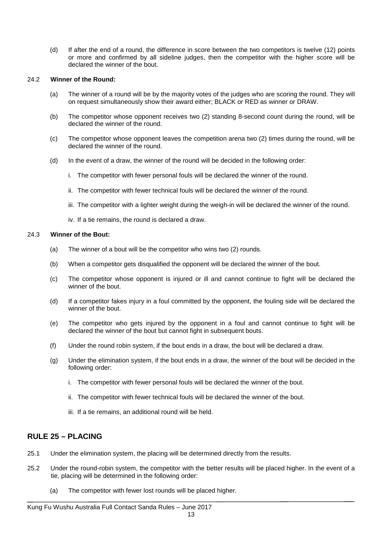(d) If after the end of a round, the difference in score between the two competitors is twelve (12) points or more and confirmed by all sideline judges, then the competitor with the higher score will be declared the winner of the bout.

#### 24.2 **Winner of the Round:**

- (a) The winner of a round will be by the majority votes of the judges who are scoring the round. They will on request simultaneously show their award either; BLACK or RED as winner or DRAW.
- (b) The competitor whose opponent receives two (2) standing 8-second count during the round, will be declared the winner of the round.
- (c) The competitor whose opponent leaves the competition arena two (2) times during the round, will be declared the winner of the round.
- (d) In the event of a draw, the winner of the round will be decided in the following order:
	- i. The competitor with fewer personal fouls will be declared the winner of the round.
	- ii. The competitor with fewer technical fouls will be declared the winner of the round.
	- iii. The competitor with a lighter weight during the weigh-in will be declared the winner of the round.
	- iv. If a tie remains, the round is declared a draw.

#### 24.3 **Winner of the Bout:**

- (a) The winner of a bout will be the competitor who wins two (2) rounds.
- (b) When a competitor gets disqualified the opponent will be declared the winner of the bout.
- (c) The competitor whose opponent is injured or ill and cannot continue to fight will be declared the winner of the bout.
- (d) If a competitor fakes injury in a foul committed by the opponent, the fouling side will be declared the winner of the bout.
- (e) The competitor who gets injured by the opponent in a foul and cannot continue to fight will be declared the winner of the bout but cannot fight in subsequent bouts.
- (f) Under the round robin system, if the bout ends in a draw, the bout will be declared a draw.
- (g) Under the elimination system, if the bout ends in a draw, the winner of the bout will be decided in the following order:
	- i. The competitor with fewer personal fouls will be declared the winner of the bout.
	- ii. The competitor with fewer technical fouls will be declared the winner of the bout.
	- iii. If a tie remains, an additional round will be held.

## **RULE 25 – PLACING**

- 25.1 Under the elimination system, the placing will be determined directly from the results.
- 25.2 Under the round-robin system, the competitor with the better results will be placed higher. In the event of a tie, placing will be determined in the following order:
	- (a) The competitor with fewer lost rounds will be placed higher.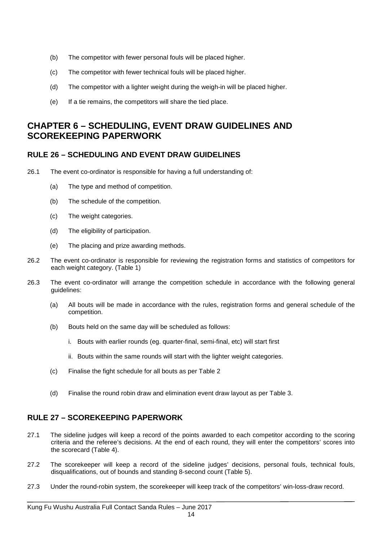- (b) The competitor with fewer personal fouls will be placed higher.
- (c) The competitor with fewer technical fouls will be placed higher.
- (d) The competitor with a lighter weight during the weigh-in will be placed higher.
- (e) If a tie remains, the competitors will share the tied place.

# **CHAPTER 6 – SCHEDULING, EVENT DRAW GUIDELINES AND SCOREKEEPING PAPERWORK**

## **RULE 26 – SCHEDULING AND EVENT DRAW GUIDELINES**

- 26.1 The event co-ordinator is responsible for having a full understanding of:
	- (a) The type and method of competition.
	- (b) The schedule of the competition.
	- (c) The weight categories.
	- (d) The eligibility of participation.
	- (e) The placing and prize awarding methods.
- 26.2 The event co-ordinator is responsible for reviewing the registration forms and statistics of competitors for each weight category. (Table 1)
- 26.3 The event co-ordinator will arrange the competition schedule in accordance with the following general guidelines:
	- (a) All bouts will be made in accordance with the rules, registration forms and general schedule of the competition.
	- (b) Bouts held on the same day will be scheduled as follows:
		- i. Bouts with earlier rounds (eg. quarter-final, semi-final, etc) will start first
		- ii. Bouts within the same rounds will start with the lighter weight categories.
	- (c) Finalise the fight schedule for all bouts as per Table 2
	- (d) Finalise the round robin draw and elimination event draw layout as per Table 3.

## **RULE 27 – SCOREKEEPING PAPERWORK**

- 27.1 The sideline judges will keep a record of the points awarded to each competitor according to the scoring criteria and the referee's decisions. At the end of each round, they will enter the competitors' scores into the scorecard (Table 4).
- 27.2 The scorekeeper will keep a record of the sideline judges' decisions, personal fouls, technical fouls, disqualifications, out of bounds and standing 8-second count (Table 5).
- 27.3 Under the round-robin system, the scorekeeper will keep track of the competitors' win-loss-draw record.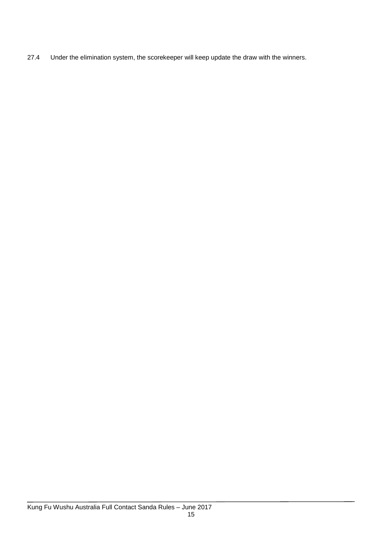27.4 Under the elimination system, the scorekeeper will keep update the draw with the winners.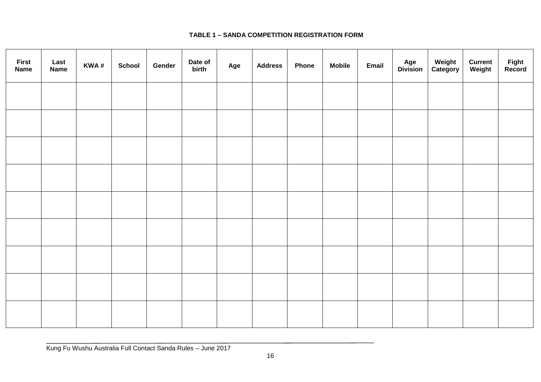## **TABLE 1 – SANDA COMPETITION REGISTRATION FORM**

| <b>First</b><br><b>Name</b> | Last<br><b>Name</b> | KWA# | <b>School</b> | Gender | Date of<br>birth | Age | <b>Address</b> | <b>Phone</b> | <b>Mobile</b> | Email | <b>Age<br/>Division</b> | Weight<br>Category | <b>Current</b><br>Weight | Fight<br>Record |
|-----------------------------|---------------------|------|---------------|--------|------------------|-----|----------------|--------------|---------------|-------|-------------------------|--------------------|--------------------------|-----------------|
|                             |                     |      |               |        |                  |     |                |              |               |       |                         |                    |                          |                 |
|                             |                     |      |               |        |                  |     |                |              |               |       |                         |                    |                          |                 |
|                             |                     |      |               |        |                  |     |                |              |               |       |                         |                    |                          |                 |
|                             |                     |      |               |        |                  |     |                |              |               |       |                         |                    |                          |                 |
|                             |                     |      |               |        |                  |     |                |              |               |       |                         |                    |                          |                 |
|                             |                     |      |               |        |                  |     |                |              |               |       |                         |                    |                          |                 |
|                             |                     |      |               |        |                  |     |                |              |               |       |                         |                    |                          |                 |
|                             |                     |      |               |        |                  |     |                |              |               |       |                         |                    |                          |                 |
|                             |                     |      |               |        |                  |     |                |              |               |       |                         |                    |                          |                 |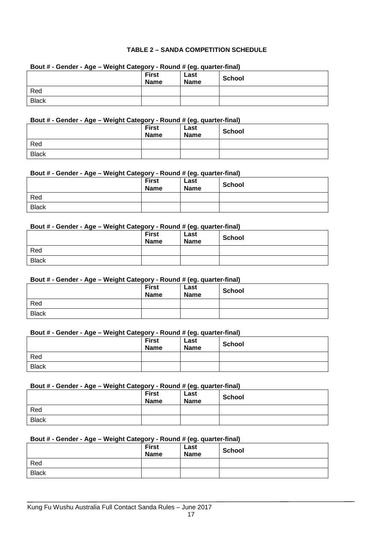#### **TABLE 2 – SANDA COMPETITION SCHEDULE**

| Bout # - Gender - Age – weight Category - Round # (eg. quarter-final) |                             |                     |               |  |  |  |  |
|-----------------------------------------------------------------------|-----------------------------|---------------------|---------------|--|--|--|--|
|                                                                       | <b>First</b><br><b>Name</b> | Last<br><b>Name</b> | <b>School</b> |  |  |  |  |
| Red                                                                   |                             |                     |               |  |  |  |  |
| <b>Black</b>                                                          |                             |                     |               |  |  |  |  |

## **Bout # - Gender - Age – Weight Category - Round # (eg. quarter-final)**

#### **Bout # - Gender - Age – Weight Category - Round # (eg. quarter-final)**

|              | <b>First</b><br><b>Name</b> | Last<br><b>Name</b> | <b>School</b> |
|--------------|-----------------------------|---------------------|---------------|
| Red          |                             |                     |               |
| <b>Black</b> |                             |                     |               |

#### **Bout # - Gender - Age – Weight Category - Round # (eg. quarter-final)**

|              | <b>First</b><br><b>Name</b> | . – -<br>Last<br><b>Name</b> | <b>School</b> |
|--------------|-----------------------------|------------------------------|---------------|
| Red          |                             |                              |               |
| <b>Black</b> |                             |                              |               |

#### **Bout # - Gender - Age – Weight Category - Round # (eg. quarter-final)**

|              | __<br><b>First</b><br><b>Name</b> | $\cdot$ $\cdot$<br>Last<br><b>Name</b> | School |
|--------------|-----------------------------------|----------------------------------------|--------|
| Red          |                                   |                                        |        |
| <b>Black</b> |                                   |                                        |        |

#### **Bout # - Gender - Age – Weight Category - Round # (eg. quarter-final)**

|              | <b>First</b><br><b>Name</b> | Last<br><b>Name</b> | <b>School</b> |
|--------------|-----------------------------|---------------------|---------------|
| Red          |                             |                     |               |
| <b>Black</b> |                             |                     |               |

#### **Bout # - Gender - Age – Weight Category - Round # (eg. quarter-final)**

|              | <b>First</b><br><b>Name</b> | __<br>Last<br><b>Name</b> | <b>School</b> |
|--------------|-----------------------------|---------------------------|---------------|
| Red          |                             |                           |               |
| <b>Black</b> |                             |                           |               |

#### **Bout # - Gender - Age – Weight Category - Round # (eg. quarter-final)**

| . .<br>. .   | <b>First</b><br><b>Name</b> | . .<br>Last<br><b>Name</b> | <b>School</b> |
|--------------|-----------------------------|----------------------------|---------------|
| Red          |                             |                            |               |
| <b>Black</b> |                             |                            |               |

#### **Bout # - Gender - Age – Weight Category - Round # (eg. quarter-final)**

|              | <b>First</b><br><b>Name</b> | Last<br><b>Name</b> | <b>School</b> |
|--------------|-----------------------------|---------------------|---------------|
| Red          |                             |                     |               |
| <b>Black</b> |                             |                     |               |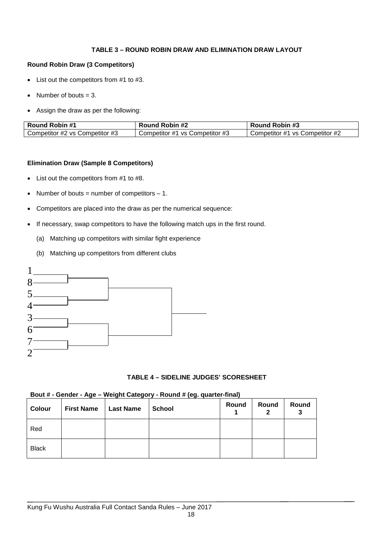#### **TABLE 3 – ROUND ROBIN DRAW AND ELIMINATION DRAW LAYOUT**

#### **Round Robin Draw (3 Competitors)**

- List out the competitors from #1 to #3.
- Number of bouts  $= 3$ .
- Assign the draw as per the following:

| <b>Round Robin #1</b>          | Round Robin #2                 | <b>Round Robin #3</b>          |
|--------------------------------|--------------------------------|--------------------------------|
| Competitor #2 vs Competitor #3 | Competitor #1 vs Competitor #3 | Competitor #1 vs Competitor #2 |

#### **Elimination Draw (Sample 8 Competitors)**

- List out the competitors from #1 to #8.
- Number of bouts = number of competitors  $-1$ .
- Competitors are placed into the draw as per the numerical sequence:
- If necessary, swap competitors to have the following match ups in the first round.
	- (a) Matching up competitors with similar fight experience
	- (b) Matching up competitors from different clubs



#### **TABLE 4 – SIDELINE JUDGES' SCORESHEET**

#### **Bout # - Gender - Age – Weight Category - Round # (eg. quarter-final)**

| Colour       | <b>First Name</b> | Last Name | <b>School</b> | Round | Round | Round<br>3 |
|--------------|-------------------|-----------|---------------|-------|-------|------------|
| Red          |                   |           |               |       |       |            |
| <b>Black</b> |                   |           |               |       |       |            |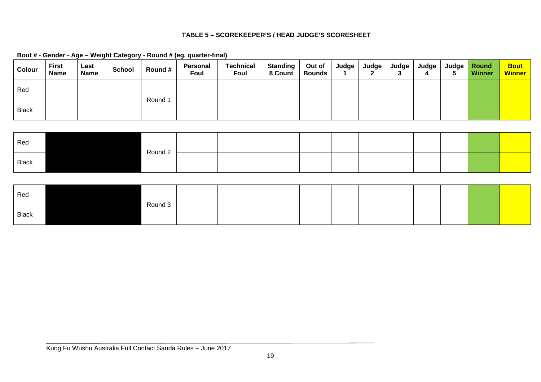#### **TABLE 5 – SCOREKEEPER'S / HEAD JUDGE'S SCORESHEET**

| <b>Colour</b> | <b>First</b><br><b>Name</b> | Last<br><b>Name</b> | <b>School</b> | Round # | Personal<br>Foul | <b>Technical</b><br>Foul | <b>Standing</b><br>8 Count | Out of<br><b>Bounds</b> | Judge | Judge | Judge l | Judge l<br>4 | Judge <i>V</i><br>◡ | <b>Round</b><br><b>Winner</b> | <b>Bout</b><br><b>Winner</b> |
|---------------|-----------------------------|---------------------|---------------|---------|------------------|--------------------------|----------------------------|-------------------------|-------|-------|---------|--------------|---------------------|-------------------------------|------------------------------|
| Red           |                             |                     |               | Round 1 |                  |                          |                            |                         |       |       |         |              |                     |                               |                              |
| <b>Black</b>  |                             |                     |               |         |                  |                          |                            |                         |       |       |         |              |                     |                               |                              |

**Bout # - Gender - Age – Weight Category - Round # (eg. quarter-final)**

| Red          | Round 2 |  |  |  |  |  |  |
|--------------|---------|--|--|--|--|--|--|
| <b>Black</b> |         |  |  |  |  |  |  |

| Red   | Round 3 |  |  |  |  |  |  |
|-------|---------|--|--|--|--|--|--|
| Black |         |  |  |  |  |  |  |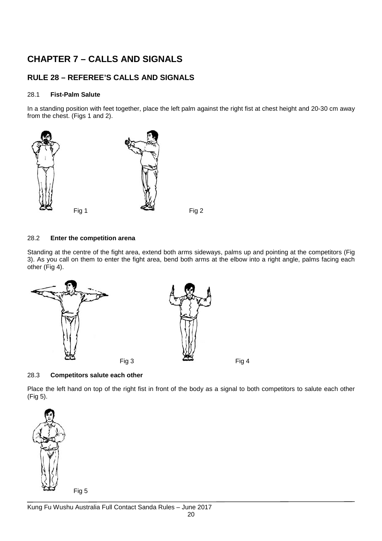# **CHAPTER 7 – CALLS AND SIGNALS**

## **RULE 28 – REFEREE'S CALLS AND SIGNALS**

#### 28.1 **Fist-Palm Salute**

In a standing position with feet together, place the left palm against the right fist at chest height and 20-30 cm away from the chest. (Figs 1 and 2).



#### 28.2 **Enter the competition arena**

Standing at the centre of the fight area, extend both arms sideways, palms up and pointing at the competitors (Fig 3). As you call on them to enter the fight area, bend both arms at the elbow into a right angle, palms facing each other (Fig 4).



#### 28.3 **Competitors salute each other**

Place the left hand on top of the right fist in front of the body as a signal to both competitors to salute each other (Fig 5).

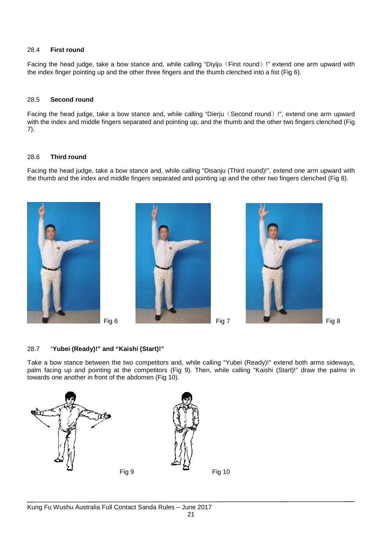#### 28.4 **First round**

Facing the head judge, take a bow stance and, while calling "Diyiju (First round) !" extend one arm upward with the index finger pointing up and the other three fingers and the thumb clenched into a fist (Fig 6).

#### 28.5 **Second round**

Facing the head judge, take a bow stance and, while calling "Dierju (Second round) !", extend one arm upward with the index and middle fingers separated and pointing up, and the thumb and the other two fingers clenched (Fig 7).

#### 28.6 **Third round**

Facing the head judge, take a bow stance and, while calling "Disanju (Third round)!", extend one arm upward with the thumb and the index and middle fingers separated and pointing up and the other two fingers clenched (Fig 8).







#### 28.7 "**Yubei (Ready)!" and "Kaishi (Start)!"**

Take a bow stance between the two competitors and, while calling "Yubei (Ready)!" extend both arms sideways, palm facing up and pointing at the competitors (Fig 9). Then, while calling "Kaishi (Start)!" draw the palms in towards one another in front of the abdomen (Fig 10).

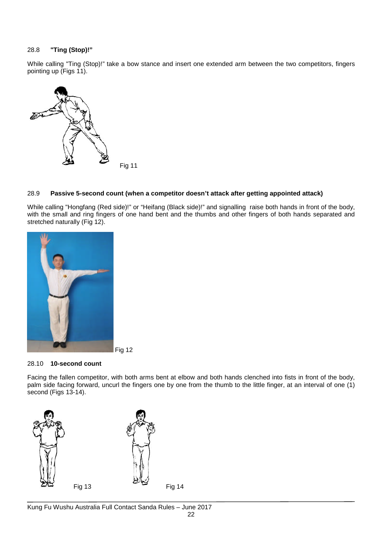#### 28.8 **"Ting (Stop)!"**

While calling "Ting (Stop)!" take a bow stance and insert one extended arm between the two competitors, fingers pointing up (Figs 11).



#### 28.9 **Passive 5-second count (when a competitor doesn't attack after getting appointed attack)**

While calling "Hongfang (Red side)!" or "Heifang (Black side)!" and signalling raise both hands in front of the body, with the small and ring fingers of one hand bent and the thumbs and other fingers of both hands separated and stretched naturally (Fig 12).



#### 28.10 **10-second count**

Facing the fallen competitor, with both arms bent at elbow and both hands clenched into fists in front of the body, palm side facing forward, uncurl the fingers one by one from the thumb to the little finger, at an interval of one (1) second (Figs 13-14).

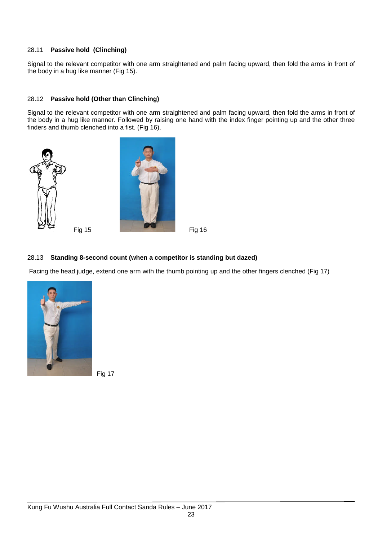#### 28.11 **Passive hold (Clinching)**

Signal to the relevant competitor with one arm straightened and palm facing upward, then fold the arms in front of the body in a hug like manner (Fig 15).

#### 28.12 **Passive hold (Other than Clinching)**

Signal to the relevant competitor with one arm straightened and palm facing upward, then fold the arms in front of the body in a hug like manner. Followed by raising one hand with the index finger pointing up and the other three finders and thumb clenched into a fist. (Fig 16).







#### 28.13 **Standing 8-second count (when a competitor is standing but dazed)**

Facing the head judge, extend one arm with the thumb pointing up and the other fingers clenched (Fig 17)



Fig 17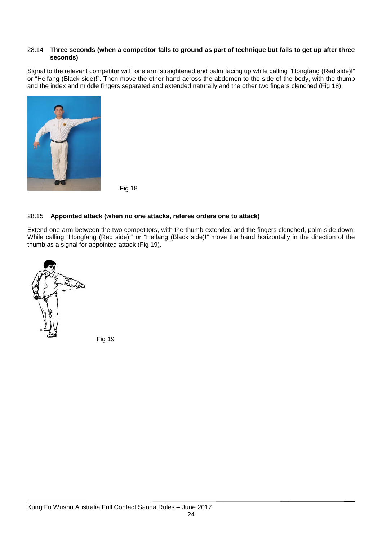#### 28.14 **Three seconds (when a competitor falls to ground as part of technique but fails to get up after three seconds)**

Signal to the relevant competitor with one arm straightened and palm facing up while calling "Hongfang (Red side)!" or "Heifang (Black side)!". Then move the other hand across the abdomen to the side of the body, with the thumb and the index and middle fingers separated and extended naturally and the other two fingers clenched (Fig 18).



Fig 18

#### 28.15 **Appointed attack (when no one attacks, referee orders one to attack)**

Extend one arm between the two competitors, with the thumb extended and the fingers clenched, palm side down. While calling "Hongfang (Red side)!" or "Heifang (Black side)!" move the hand horizontally in the direction of the thumb as a signal for appointed attack (Fig 19).



Fig 19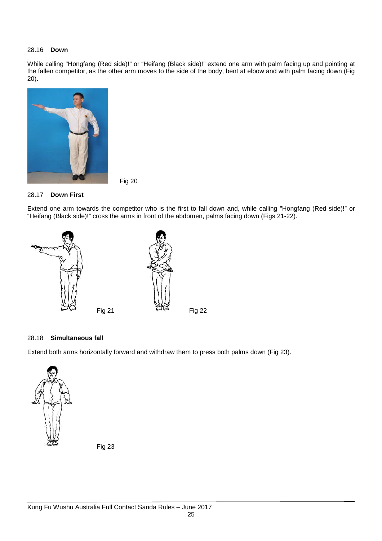#### 28.16 **Down**

While calling "Hongfang (Red side)!" or "Heifang (Black side)!" extend one arm with palm facing up and pointing at the fallen competitor, as the other arm moves to the side of the body, bent at elbow and with palm facing down (Fig 20).



Fig 20

#### 28.17 **Down First**

Extend one arm towards the competitor who is the first to fall down and, while calling "Hongfang (Red side)!" or "Heifang (Black side)!" cross the arms in front of the abdomen, palms facing down (Figs 21-22).



#### 28.18 **Simultaneous fall**

Extend both arms horizontally forward and withdraw them to press both palms down (Fig 23).



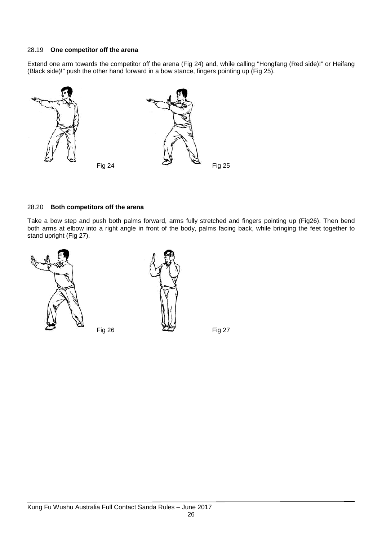#### 28.19 **One competitor off the arena**

Extend one arm towards the competitor off the arena (Fig 24) and, while calling "Hongfang (Red side)!" or Heifang (Black side)!" push the other hand forward in a bow stance, fingers pointing up (Fig 25).



#### 28.20 **Both competitors off the arena**

Take a bow step and push both palms forward, arms fully stretched and fingers pointing up (Fig26). Then bend both arms at elbow into a right angle in front of the body, palms facing back, while bringing the feet together to stand upright (Fig 27).



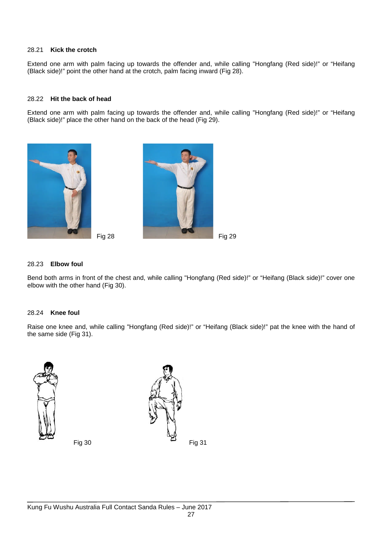#### 28.21 **Kick the crotch**

Extend one arm with palm facing up towards the offender and, while calling "Hongfang (Red side)!" or "Heifang (Black side)!" point the other hand at the crotch, palm facing inward (Fig 28).

#### 28.22 **Hit the back of head**

Extend one arm with palm facing up towards the offender and, while calling "Hongfang (Red side)!" or "Heifang (Black side)!" place the other hand on the back of the head (Fig 29).





#### 28.23 **Elbow foul**

Bend both arms in front of the chest and, while calling "Hongfang (Red side)!" or "Heifang (Black side)!" cover one elbow with the other hand (Fig 30).

#### 28.24 **Knee foul**

Raise one knee and, while calling "Hongfang (Red side)!" or "Heifang (Black side)!" pat the knee with the hand of the same side (Fig 31).





Fig 30 Fig 31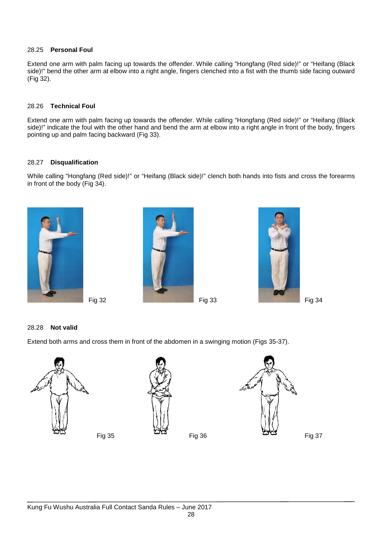#### 28.25 **Personal Foul**

Extend one arm with palm facing up towards the offender. While calling "Hongfang (Red side)!" or "Heifang (Black side)!" bend the other arm at elbow into a right angle, fingers clenched into a fist with the thumb side facing outward (Fig 32).

#### 28.26 **Technical Foul**

Extend one arm with palm facing up towards the offender. While calling "Hongfang (Red side)!" or "Heifang (Black side)!" indicate the foul with the other hand and bend the arm at elbow into a right angle in front of the body, fingers pointing up and palm facing backward (Fig 33).

#### 28.27 **Disqualification**

While calling "Hongfang (Red side)!" or "Heifang (Black side)!" clench both hands into fists and cross the forearms in front of the body (Fig 34).







#### 28.28 **Not valid**

Extend both arms and cross them in front of the abdomen in a swinging motion (Figs 35-37).



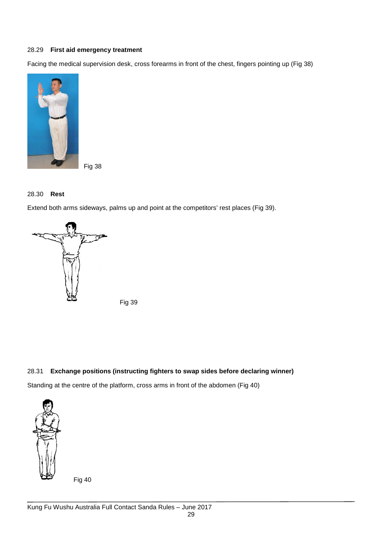#### 28.29 **First aid emergency treatment**

Facing the medical supervision desk, cross forearms in front of the chest, fingers pointing up (Fig 38)



Fig 38

### 28.30 **Rest**

Extend both arms sideways, palms up and point at the competitors' rest places (Fig 39).



Fig 39

#### 28.31 **Exchange positions (instructing fighters to swap sides before declaring winner)**

Standing at the centre of the platform, cross arms in front of the abdomen (Fig 40)



Fig 40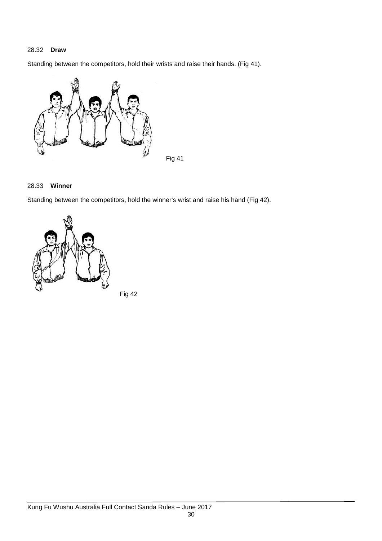#### 28.32 **Draw**

Standing between the competitors, hold their wrists and raise their hands. (Fig 41).



#### 28.33 **Winner**

Standing between the competitors, hold the winner's wrist and raise his hand (Fig 42).



Fig 42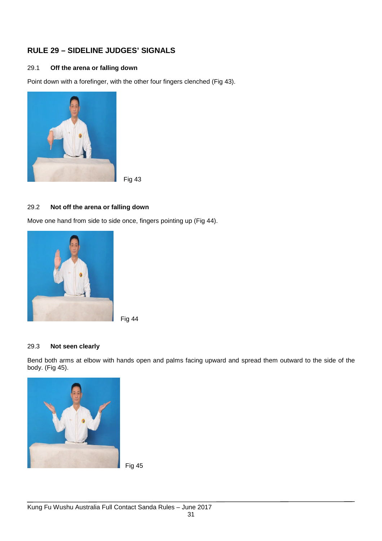## **RULE 29 – SIDELINE JUDGES' SIGNALS**

#### 29.1 **Off the arena or falling down**

Point down with a forefinger, with the other four fingers clenched (Fig 43).



Fig 43

#### 29.2 **Not off the arena or falling down**

Move one hand from side to side once, fingers pointing up (Fig 44).





#### 29.3 **Not seen clearly**

Bend both arms at elbow with hands open and palms facing upward and spread them outward to the side of the body. (Fig 45).

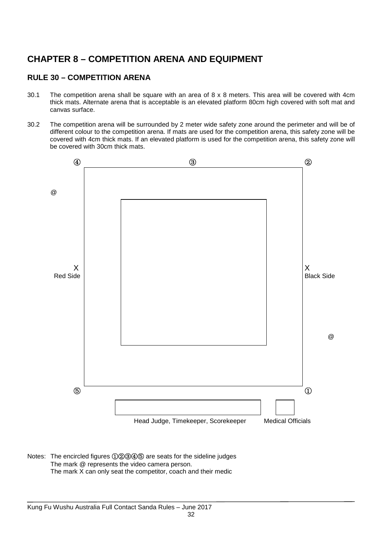# **CHAPTER 8 – COMPETITION ARENA AND EQUIPMENT**

## **RULE 30 – COMPETITION ARENA**

- 30.1 The competition arena shall be square with an area of 8 x 8 meters. This area will be covered with 4cm thick mats. Alternate arena that is acceptable is an elevated platform 80cm high covered with soft mat and canvas surface.
- 30.2 The competition arena will be surrounded by 2 meter wide safety zone around the perimeter and will be of different colour to the competition arena. If mats are used for the competition arena, this safety zone will be covered with 4cm thick mats. If an elevated platform is used for the competition arena, this safety zone will be covered with 30cm thick mats.



Notes: The encircled figures ①②③④⑤ are seats for the sideline judges The mark @ represents the video camera person. The mark X can only seat the competitor, coach and their medic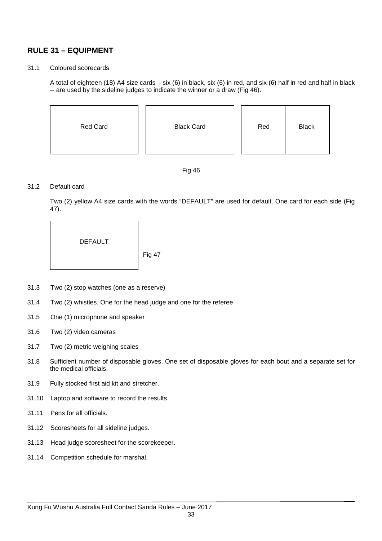## **RULE 31 – EQUIPMENT**

#### 31.1 Coloured scorecards

A total of eighteen (18) A4 size cards – six (6) in black, six (6) in red, and six (6) half in red and half in black -- are used by the sideline judges to indicate the winner or a draw (Fig 46).

| Red Card | <b>Black Card</b> | Red | <b>Black</b> |
|----------|-------------------|-----|--------------|
|          |                   |     |              |



#### 31.2 Default card

Two (2) yellow A4 size cards with the words "DEFAULT" are used for default. One card for each side (Fig 47).

DEFAULT

Fig 47

- 31.3 Two (2) stop watches (one as a reserve)
- 31.4 Two (2) whistles. One for the head judge and one for the referee
- 31.5 One (1) microphone and speaker
- 31.6 Two (2) video cameras
- 31.7 Two (2) metric weighing scales
- 31.8 Sufficient number of disposable gloves. One set of disposable gloves for each bout and a separate set for the medical officials.
- 31.9 Fully stocked first aid kit and stretcher.
- 31.10 Laptop and software to record the results.
- 31.11 Pens for all officials.
- 31.12 Scoresheets for all sideline judges.
- 31.13 Head judge scoresheet for the scorekeeper.
- 31.14 Competition schedule for marshal.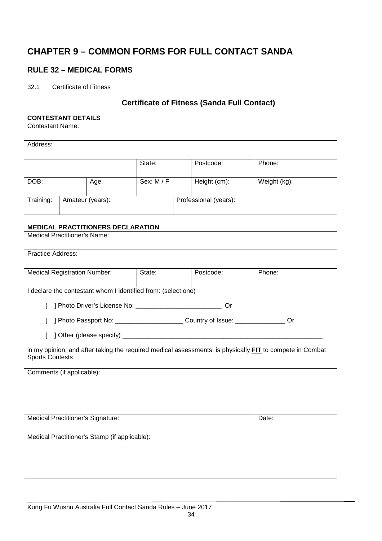# **CHAPTER 9 – COMMON FORMS FOR FULL CONTACT SANDA**

## **RULE 32 – MEDICAL FORMS**

32.1 Certificate of Fitness

## **Certificate of Fitness (Sanda Full Contact)**

#### **CONTESTANT DETAILS**

| <b>Contestant Name:</b> |                  |      |            |  |                       |              |
|-------------------------|------------------|------|------------|--|-----------------------|--------------|
| Address:                |                  |      |            |  |                       |              |
|                         |                  |      | State:     |  | Postcode:             | Phone:       |
| DOB:                    |                  | Age: | Sex: M / F |  | Height (cm):          | Weight (kg): |
| Training:               | Amateur (years): |      |            |  | Professional (years): |              |

#### **MEDICAL PRACTITIONERS DECLARATION**

| <b>Medical Practitioner's Name:</b>                                                                                                       |                               |    |    |  |  |  |  |  |  |
|-------------------------------------------------------------------------------------------------------------------------------------------|-------------------------------|----|----|--|--|--|--|--|--|
| <b>Practice Address:</b>                                                                                                                  |                               |    |    |  |  |  |  |  |  |
| <b>Medical Registration Number:</b>                                                                                                       | State:<br>Postcode:<br>Phone: |    |    |  |  |  |  |  |  |
| I declare the contestant whom I identified from: (select one)                                                                             |                               |    |    |  |  |  |  |  |  |
|                                                                                                                                           |                               | Or |    |  |  |  |  |  |  |
| ] Photo Passport No: _____________________________ Country of Issue: ____________                                                         |                               |    | Or |  |  |  |  |  |  |
|                                                                                                                                           |                               |    |    |  |  |  |  |  |  |
| in my opinion, and after taking the required medical assessments, is physically <b>FIT</b> to compete in Combat<br><b>Sports Contests</b> |                               |    |    |  |  |  |  |  |  |
| Comments (if applicable):                                                                                                                 |                               |    |    |  |  |  |  |  |  |
|                                                                                                                                           |                               |    |    |  |  |  |  |  |  |
|                                                                                                                                           |                               |    |    |  |  |  |  |  |  |
| <b>Medical Practitioner's Signature:</b><br>Date:                                                                                         |                               |    |    |  |  |  |  |  |  |
| Medical Practitioner's Stamp (if applicable):                                                                                             |                               |    |    |  |  |  |  |  |  |
|                                                                                                                                           |                               |    |    |  |  |  |  |  |  |
|                                                                                                                                           |                               |    |    |  |  |  |  |  |  |
|                                                                                                                                           |                               |    |    |  |  |  |  |  |  |